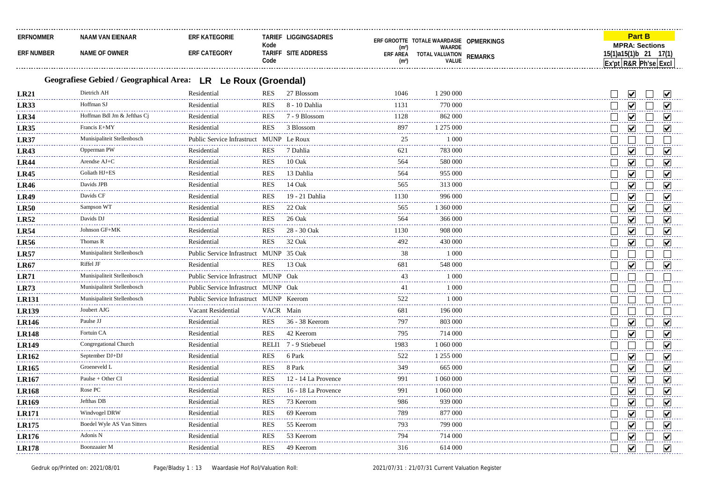| <b>ERFNOMMER</b>  | NAAM VAN EIENAAR | egorie<br>∶ K ∆⊤F | Tarie                 | <b>FRE GROOTTE</b>                                                           |                       | .                              |
|-------------------|------------------|-------------------|-----------------------|------------------------------------------------------------------------------|-----------------------|--------------------------------|
| <b>ERF NUMBER</b> | ั OWNEห          | <b>F CATEGORY</b> | Kode<br>Tarif<br>Cod∈ | TOTALE WAARDASIE<br><b><i>NAARDE</i></b><br>ERF AREA<br>TOTA.<br>_ VALUATION | OPMERKINGS<br>DEMADVS | <b>MPRA: Sections</b><br>17(1) |

## **Geografiese Gebied / Geographical Area: LR Le Roux (Groendal)**

| LR21         | Dietrich AH                 | Residential                             | <b>RES</b>      | 27 Blossom            | 1046               | 1 290 000           |  |                         |                      |
|--------------|-----------------------------|-----------------------------------------|-----------------|-----------------------|--------------------|---------------------|--|-------------------------|----------------------|
| <b>LR33</b>  | Hoffman SJ                  | Residential                             | RES             | 8 - 10 Dahlia         | 1131               | 770 000             |  |                         |                      |
| <b>LR34</b>  | Hoffman Bdl Jm & Jefthas Ci | Residential                             | <b>RES</b>      | 7 - 9 Blossom         | 1128<br>.          | 862 000             |  | M                       | V                    |
| <b>LR35</b>  | Francis E+MY                | Residential                             | <b>RES</b>      | 3 Blossom             | 897                | 1 275 000           |  | $\blacktriangledown$    |                      |
| <b>LR37</b>  | Munisipaliteit Stellenbosch | Public Service Infrastruct MUNP Le Roux |                 |                       | 25                 | 1 0 0 0             |  |                         |                      |
| <b>LR43</b>  | Opperman PW                 | Residential                             | <b>RES</b>      | 7 Dahlia              | 621                | 783 000             |  | V                       |                      |
| <b>LR44</b>  | Arendse AJ+C                | Residential                             | <b>RES</b>      | $10 \text{ Oak}$      | 564                | 580 000             |  | ☑                       |                      |
| <b>LR45</b>  | Goliath HJ+ES               | Residential                             | <b>RES</b>      | 13 Dahlia             | 564                | 955 000             |  | V                       |                      |
| <b>LR46</b>  | Davids JPB                  | Residential                             | <b>RES</b>      | 14 Oak                | 565                | 313 000             |  | $\blacktriangledown$    | ☑                    |
| <b>LR49</b>  | Davids CF                   | Residential                             | <b>RES</b>      | 19 - 21 Dahlia        | 1130               | 996 000             |  | $\overline{\mathbf{v}}$ |                      |
| <b>LR50</b>  | Sampson WT                  | Residential                             | <b>RES</b>      | 22 Oak                | 565                | 1 360 000           |  | V                       |                      |
| <b>LR52</b>  | Davids DJ                   | Residential                             | <b>RES</b>      | 26 Oak                | 564<br>.           | 366 000             |  | ☑                       |                      |
| <b>LR54</b>  | Johnson GF+MK               | Residential                             | <b>RES</b>      | 28 - 30 Oak           | 1130               | 908 000             |  | $\blacktriangledown$    |                      |
| <b>LR56</b>  | Thomas R                    | Residential                             | <b>RES</b>      | 32 Oak                | 492                | 430 000             |  | $\blacktriangledown$    |                      |
| LR57         | Munisipaliteit Stellenbosch | Public Service Infrastruct MUNP 35 Oak  |                 |                       | 38                 | 1 0 0 0             |  |                         |                      |
| <b>LR67</b>  | Riffel JF                   | Residential                             | <b>RES</b>      | 13 Oak                | 681                | 548 000             |  | M                       |                      |
| <b>LR71</b>  | Munisipaliteit Stellenbosch | Public Service Infrastruct MUNP Oak     |                 |                       | 43                 | 1 0 0 0             |  |                         |                      |
| <b>LR73</b>  | Munisipaliteit Stellenbosch | Public Service Infrastruct MUNP Oak     |                 |                       | 41                 | 1 000               |  |                         |                      |
| <b>LR131</b> | Munisipaliteit Stellenbosch | Public Service Infrastruct MUNP Keerom  |                 |                       | 522                | 1 0 0 0             |  |                         |                      |
| <b>LR139</b> | Joubert AJG                 | Vacant Residential                      | VACR Main       |                       | 681                | 196 000             |  |                         |                      |
| <b>LR146</b> | Paulse JJ                   | Residential                             | <b>RES</b>      | 36 - 38 Keerom        | 797<br>222222      | 803 000             |  | V                       |                      |
| <b>LR148</b> | Fortuin CA                  | Residential                             | <b>RES</b>      | 42 Keerom             | 795                | 714 000             |  | M                       |                      |
| <b>LR149</b> | Congregational Church       | Residential                             |                 | RELI1 7 - 9 Stiebeuel | 1983               | 1 060 000           |  |                         |                      |
| <b>LR162</b> | September DJ+DJ             | Residential                             | <b>RES</b>      | 6 Park                | 522<br>د د د د د د | 1 255 000           |  | $\blacktriangledown$    |                      |
| <b>LR165</b> | Groeneveld L                | Residential                             | <b>RES</b>      | 8 Park                | 349                | 665 000             |  | $\blacktriangledown$    |                      |
| <b>LR167</b> | Paulse + Other CI           | Residential                             | <b>RES</b>      | 12 - 14 La Provence   | 991                | 1 060 000           |  | $\blacktriangledown$    |                      |
| <b>LR168</b> | Rose PC                     | Residential                             | <b>RES</b>      | 16 - 18 La Provence   | 991                | 1 060 000           |  | V                       | ☑                    |
| <b>LR169</b> | Jefthas DB                  | Residential                             | <b>RES</b>      | 73 Keerom             | 986                | 939 000             |  | V                       |                      |
| <b>LR171</b> | Windvogel DRW               | Residential                             | <b>RES</b>      | 69 Keerom             | 789                | 877 000             |  | $\blacktriangledown$    |                      |
| <b>LR175</b> | Boedel Wyle AS Van Sitters  | Residential                             | <b>RES</b><br>. | 55 Keerom<br>.        | 793<br>.           | 799 000<br><u>.</u> |  | $\blacktriangledown$    | M                    |
| <b>LR176</b> | Adonis N                    | Residential                             | <b>RES</b>      | 53 Keerom             | 794                | 714 000             |  | V                       |                      |
| <b>LR178</b> | Boonzaaier M                | Residential                             | <b>RES</b>      | 49 Keerom             | 316                | 614 000             |  | $\overline{\mathbf{v}}$ | $\blacktriangledown$ |
|              |                             |                                         |                 |                       |                    |                     |  |                         |                      |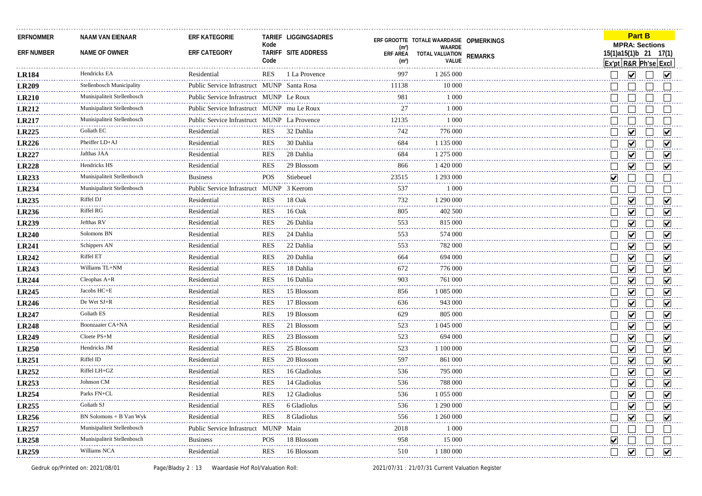| <b>ERFNOMMER</b><br><b>ERF NUMBER</b> | <b>NAAM VAN EIENAAR</b><br>NAME OF OWNER | <b>ERF KATEGORIE</b><br>ERF CATEGORY        | Kode<br>Code | TARIEF LIGGINGSADRES<br>TARIFF SITE ADDRESS | (m <sup>2</sup> )<br><b>ERF AREA</b><br>(m <sup>2</sup> ) | ERF GROOTTE TOTALE WAARDASIE OPMERKINGS<br>WAARDE<br>TOTAL VALUATION<br>VALUE | <b>REMARKS</b> | Ex'pt R&R Ph'se Excl | <b>MPRA: Sections</b><br>15(1)a15(1)b 21 17(1) | <b>Part B</b> |                             |
|---------------------------------------|------------------------------------------|---------------------------------------------|--------------|---------------------------------------------|-----------------------------------------------------------|-------------------------------------------------------------------------------|----------------|----------------------|------------------------------------------------|---------------|-----------------------------|
| <b>LR184</b>                          | Hendricks EA                             | Residential                                 | RES          | 1 La Provence                               | 997                                                       | 1 265 000                                                                     |                |                      | ⊻                                              |               | $\vert\mathbf{v}\vert$      |
| <b>LR209</b>                          | Stellenbosch Municipality                | Public Service Infrastruct MUNP Santa Rosa  |              |                                             | 11138                                                     | 10 000                                                                        |                |                      |                                                |               |                             |
| <b>LR210</b>                          | Munisipaliteit Stellenbosch              | Public Service Infrastruct MUNP Le Roux     |              |                                             | 981                                                       | 1 0 0 0                                                                       |                |                      |                                                |               |                             |
| <b>LR212</b>                          | Munisipaliteit Stellenbosch              | Public Service Infrastruct MUNP mu Le Roux  |              |                                             | 27                                                        | 1 0 0 0                                                                       |                |                      |                                                |               |                             |
| <b>LR217</b>                          | Munisipaliteit Stellenbosch              | Public Service Infrastruct MUNP La Provence |              |                                             | 12135                                                     | 1 0 0 0                                                                       |                |                      |                                                |               |                             |
| LR225                                 | Goliath EC                               | Residential                                 | RES          | 32 Dahlia                                   | 742                                                       | 776 000                                                                       |                |                      | $\overline{\mathbf{v}}$                        |               |                             |
| <b>LR226</b>                          | Pheiffer LD+AJ                           | Residential                                 | <b>RES</b>   | 30 Dahlia                                   | 684                                                       | 1 135 000                                                                     |                |                      | $\blacktriangledown$                           |               | V                           |
| <b>LR227</b>                          | Jafthas JAA                              | Residential                                 | <b>RES</b>   | 28 Dahlia                                   | 684                                                       | 1 275 000                                                                     |                |                      | $\overline{\mathbf{v}}$                        |               | ☑                           |
| <b>LR228</b>                          | Hendricks HS                             | Residential                                 | <b>RES</b>   | 29 Blossom                                  | 866                                                       | 1 420 000                                                                     |                |                      | $\blacktriangledown$                           |               | V                           |
| <b>LR233</b>                          | Munisipaliteit Stellenbosch              | <b>Business</b>                             | POS          | Stiebeuel                                   | 23515                                                     | 1 293 000                                                                     |                | V                    |                                                |               |                             |
| <b>LR234</b>                          | Munisipaliteit Stellenbosch              | Public Service Infrastruct MUNP 3 Keerom    |              |                                             | 537                                                       | 1 0 0 0                                                                       |                |                      |                                                |               |                             |
| <b>LR235</b>                          | Riffel DJ                                | Residential                                 | RES          | 18 Oak                                      | 732                                                       | 1 290 000                                                                     |                |                      | $\overline{\mathsf{v}}$                        |               | ☑                           |
| LR236                                 | <b>Riffel RG</b>                         | Residential                                 | <b>RES</b>   | 16 Oak                                      | 805                                                       | 402 500                                                                       |                |                      | ✔                                              |               | V                           |
| <b>LR239</b>                          | Jefthas RV<br>.                          | Residential                                 | <b>RES</b>   | 26 Dahlia                                   | 553                                                       | 815 000                                                                       |                |                      | ☑                                              |               | $\blacktriangledown$        |
| <b>LR240</b>                          | Solomons BN                              | Residential                                 | RES          | 24 Dahlia                                   | 553                                                       | 574 000                                                                       |                |                      | ⊻                                              |               | ☑                           |
| <b>LR241</b>                          | Schippers AN                             | Residential                                 | RES          | 22 Dahlia                                   | 553                                                       | 782 000                                                                       |                |                      | $\blacktriangledown$                           |               | V                           |
| <b>LR242</b>                          | Riffel ET                                | Residential                                 | RES          | 20 Dahlia                                   | 664                                                       | 694 000                                                                       |                |                      | $\overline{\mathbf{v}}$                        |               | ☑                           |
| <b>LR243</b>                          | Williams TL+NM<br>.                      | Residential                                 | <b>RES</b>   | 18 Dahlia                                   | 672                                                       | 776 000                                                                       |                |                      | $\overline{\mathsf{v}}$                        |               | $\overline{\mathbf{v}}$     |
| <b>LR244</b>                          | Cleophas A+R                             | Residential                                 | <b>RES</b>   | 16 Dahlia                                   | 903                                                       | 761 000                                                                       |                |                      | $\blacktriangledown$                           |               | ☑                           |
| <b>LR245</b>                          | Jacobs HC+E                              | Residential                                 | <b>RES</b>   | 15 Blossom                                  | 856                                                       | 1 085 000                                                                     |                |                      | $\blacktriangledown$                           |               | $\overline{\mathsf{v}}$     |
| <b>LR246</b>                          | De Wet SJ+R                              | Residential                                 | <b>RES</b>   | 17 Blossom                                  | 636                                                       | 943 000                                                                       |                |                      | ☑                                              |               | $\overline{\mathbf{v}}$     |
| <b>LR247</b>                          | Goliath ES                               | Residential                                 | <b>RES</b>   | 19 Blossom                                  | 629                                                       | 805 000                                                                       |                |                      | $\overline{\mathbf{v}}$                        |               | $\blacktriangledown$        |
| <b>LR248</b>                          | Boonzaaier CA+NA                         | Residential                                 | <b>RES</b>   | 21 Blossom                                  | 523                                                       | 1 045 000                                                                     |                |                      | $\overline{\mathbf{v}}$                        |               | $\overline{\mathbf{v}}$     |
| <b>LR249</b>                          | Cloete PS+M                              | Residential                                 | <b>RES</b>   | 23 Blossom                                  | 523                                                       | 694 000                                                                       |                |                      | $\blacktriangledown$                           |               | $\blacktriangledown$        |
| <b>LR250</b>                          | Hendricks JM                             | Residential                                 | <b>RES</b>   | 25 Blossom                                  | 523                                                       | 1 100 000                                                                     |                |                      | $\vert\!\vert\mathbf{v}\vert\!\vert$           |               | $\vert\bm{\mathsf{v}}\vert$ |
| <b>LR251</b>                          | Riffel ID                                | Residential                                 | <b>RES</b>   | 20 Blossom                                  | 597                                                       | 861 000                                                                       |                |                      | $\overline{\mathbf{v}}$                        |               | $\blacktriangledown$        |
| LR252                                 | Riffel LH+GZ                             | Residential                                 | <b>RES</b>   | 16 Gladiolus                                | 536                                                       | 795 000                                                                       |                |                      | $\overline{\mathbf{v}}$                        |               | ☑                           |
| LR253                                 | Johnson CM                               | Residential                                 | <b>RES</b>   | 14 Gladiolus                                | 536                                                       | 788 000                                                                       |                |                      | $\blacktriangledown$                           |               | ☑                           |
| <b>LR254</b>                          | Parks FN+CL                              | Residential                                 | <b>RES</b>   | 12 Gladiolus                                | المستملة<br>536                                           | 1 055 000                                                                     |                |                      | V                                              |               | V                           |
| <b>LR255</b>                          | Goliath SJ                               | Residential                                 | RES          | 6 Gladiolus                                 | 536                                                       | 1 290 000                                                                     |                |                      | $\vert\!\vert\mathbf{v}\vert\!\vert$           |               | ☑                           |
| <b>LR256</b>                          | BN Solomons + B Van Wyk                  | Residential                                 | <b>RES</b>   | 8 Gladiolus                                 | 556                                                       | 1 260 000                                                                     |                |                      | $\vert\!\sqrt{\vert}$                          |               | V                           |
| <b>LR257</b>                          | Munisipaliteit Stellenbosch<br>.         | Public Service Infrastruct MUNP Main        |              |                                             | 2018                                                      | 1 000                                                                         |                |                      |                                                |               |                             |
| <b>LR258</b>                          | Munisipaliteit Stellenbosch              | <b>Business</b>                             | <b>POS</b>   | 18 Blossom                                  | 958                                                       | 15 000                                                                        |                | ☑                    |                                                |               |                             |
| <b>LR259</b>                          | Williams NCA                             | Residential                                 | <b>RES</b>   | 16 Blossom                                  | .<br>510                                                  | 1 180 000                                                                     |                | $\mathbf{I}$         | $\blacktriangledown$                           |               | $\overline{\mathbf{v}}$     |
|                                       |                                          |                                             |              |                                             |                                                           |                                                                               |                |                      |                                                |               |                             |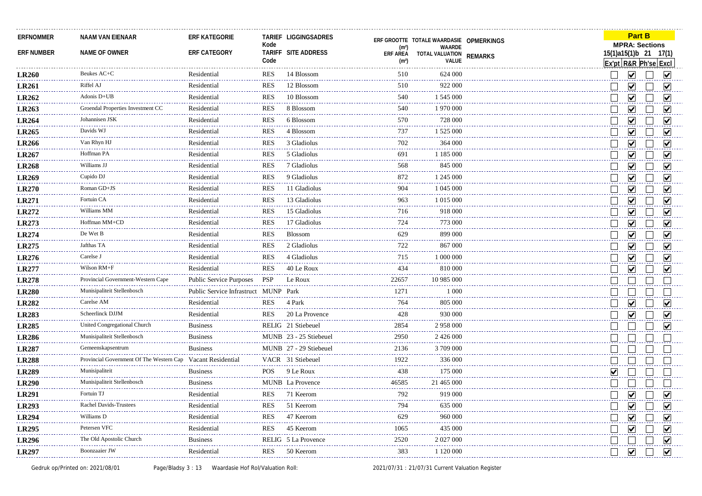| <b>ERFNOMMER</b>  | NAAM VAN EIENAAR                             | <b>ERF KATEGORIE</b>            |            | TARIEF LIGGINGSADRES   |                                      | ERF GROOTTE TOTALE WAARDASIE OPMERKINGS |                |                      | <b>Part B</b>                                  |                         |
|-------------------|----------------------------------------------|---------------------------------|------------|------------------------|--------------------------------------|-----------------------------------------|----------------|----------------------|------------------------------------------------|-------------------------|
| <b>ERF NUMBER</b> | NAME OF OWNER                                | ERF CATEGORY                    | Kode       | TARIFF SITE ADDRESS    | (m <sup>2</sup> )                    | WAARDE                                  |                |                      | <b>MPRA: Sections</b><br>15(1)a15(1)b 21 17(1) |                         |
|                   |                                              |                                 | Code       |                        | <b>ERF AREA</b><br>(m <sup>2</sup> ) | TOTAL VALUATION<br>VALUE                | <b>REMARKS</b> |                      | Ex'pt R&R Ph'se Excl                           |                         |
| <b>LR260</b>      | Beukes AC+C                                  | Residential                     | <b>RES</b> | 14 Blossom             | 510                                  | 624 000                                 |                |                      | $\blacktriangledown$                           | M                       |
| <b>LR261</b>      | Riffel AJ                                    | Residential                     | <b>RES</b> | 12 Blossom             | 510                                  | 922 000                                 |                |                      | $\blacktriangledown$                           | ☑                       |
| <b>LR262</b>      | Adonis D+UB                                  | Residential                     | <b>RES</b> | 10 Blossom             | 540                                  | 1 545 000                               |                |                      | $\vert\!\vert\mathbf{v}\vert\!\vert$           | M                       |
| <b>LR263</b>      | Groendal Properties Investment CC            | Residential                     | <b>RES</b> | 8 Blossom              | 540                                  | 1970 000                                |                |                      | V                                              | M                       |
| <b>LR264</b>      | Johannisen JSK                               | Residential                     | <b>RES</b> | 6 Blossom              | 570                                  | 728 000                                 |                |                      | $\overline{\mathsf{v}}$                        | ☑                       |
| LR265             | Davids WJ                                    | Residential                     | <b>RES</b> | 4 Blossom              | 737                                  | 1 525 000                               |                |                      | $\blacktriangledown$                           | $\blacktriangledown$    |
| <b>LR266</b>      | Van Rhyn HJ                                  | Residential                     | <b>RES</b> | 3 Gladiolus            | 702                                  | 364 000                                 |                |                      | $\overline{\mathbf{v}}$                        | V                       |
| <b>LR267</b>      | Hoffman PA                                   | Residential                     | <b>RES</b> | 5 Gladiolus            | 691                                  | 1 1 8 5 0 0 0                           |                |                      | ☑                                              | ☑                       |
| <b>LR268</b>      | Williams JJ                                  | Residential                     | <b>RES</b> | 7 Gladiolus            | 568                                  | 845 000                                 |                |                      | $\vert\!\vert\mathbf{v}\vert\!\vert$           | ⊽                       |
| <b>LR269</b>      | Cupido DJ                                    | Residential                     | <b>RES</b> | 9 Gladiolus            | 872                                  | 1 245 000                               |                |                      | $\vert\!\downarrow\!\mid$                      | M                       |
| <b>LR270</b>      | Roman GD+JS                                  | Residential                     | <b>RES</b> | 11 Gladiolus           | 904                                  | 1 045 000                               |                |                      | $\overline{\mathsf{v}}$                        | ☑                       |
| <b>LR271</b>      | Fortuin CA                                   | Residential                     | <b>RES</b> | 13 Gladiolus           | 963                                  | 1 015 000                               |                |                      | $\overline{\mathbf{v}}$                        | ⊽                       |
| LR272             | Williams MM                                  | Residential                     | <b>RES</b> | 15 Gladiolus           | 716                                  | 918 000                                 |                |                      | $\overline{\mathbf{v}}$                        | ☑                       |
| LR273             | Hoffman MM+CD                                | Residential                     | <b>RES</b> | 17 Gladiolus           | 724                                  | 773 000                                 |                |                      | $\overline{\mathbf{v}}$                        | ⊽                       |
| <b>LR274</b>      | De Wet B                                     | Residential                     | <b>RES</b> | Blossom                | 629                                  | 899 000                                 |                |                      | $\blacktriangledown$                           | $\blacktriangledown$    |
| LR275             | Jafthas TA                                   | Residential                     | <b>RES</b> | 2 Gladiolus            | 722                                  | 867 000                                 |                |                      | ☑                                              | ☑                       |
| LR276             | Carelse J<br>.                               | Residential                     | <b>RES</b> | 4 Gladiolus            | 715                                  | 1 000 000                               |                |                      | $\blacktriangledown$                           | ☑                       |
| <b>LR277</b>      | Wilson RM+F                                  | Residential                     | <b>RES</b> | 40 Le Roux             | 434                                  | 810 000                                 |                |                      | ☑                                              | ⊽                       |
| <b>LR278</b>      | Provincial Government-Western Cape           | <b>Public Service Purposes</b>  | <b>PSP</b> | Le Roux                | 22657                                | 10 985 000                              |                |                      |                                                |                         |
| <b>LR280</b>      | Munisipaliteit Stellenboscl                  | Public Service Infrastruct MUNP |            | Park                   | 1271                                 | 1 0 0 0                                 |                |                      |                                                |                         |
| <b>LR282</b>      | Carelse AM<br>.                              | Residential                     | <b>RES</b> | 4 Park                 | 764                                  | 805 000                                 |                |                      | ☑                                              | ☑                       |
| <b>LR283</b>      | Scheerlinck DJJM<br><b>*****************</b> | Residential                     | <b>RES</b> | 20 La Provence         | 428                                  | 930 000                                 |                |                      | ✔                                              | ⊽                       |
| <b>LR285</b>      | United Congregational Church                 | <b>Business</b>                 |            | RELIG 21 Stiebeuel     | 2854                                 | 2958000                                 |                |                      |                                                | ⊽                       |
| <b>LR286</b>      | Munisipaliteit Stellenbosch                  | <b>Business</b>                 |            | MUNB 23 - 25 Stiebeuel | 2950                                 | 2 426 000                               |                |                      |                                                |                         |
| <b>LR287</b>      | Gemeenskapsentrum                            | <b>Business</b>                 |            | MUNB 27 - 29 Stiebeuel | 2136                                 | 3709000                                 |                |                      |                                                |                         |
| <b>LR288</b>      | Provincial Government Of The Western Cap     | Vacant Residential              |            | VACR 31 Stiebeuel      | 1922                                 | 336 000                                 |                |                      |                                                |                         |
| <b>LR289</b>      | Munisipaliteit                               | <b>Business</b>                 | <b>POS</b> | 9 Le Roux              | 438                                  | 175 000                                 |                | $\blacktriangledown$ |                                                |                         |
| <b>LR290</b>      | Munisipaliteit Stellenbosch                  | <b>Business</b>                 |            | MUNB La Provence       | 46585                                | 21 465 000                              |                |                      |                                                |                         |
| <b>LR291</b>      | Fortuin TJ                                   | Residential                     | <b>RES</b> | 71 Keerom              | 792                                  | 919 000                                 |                |                      | ⊻                                              | M                       |
| <b>LR293</b>      | Rachel Davids-Trustees                       | Residential                     | <b>RES</b> | 51 Keerom              | 794                                  | 635 000                                 |                |                      | $\blacktriangledown$                           | $\vert\mathbf{v}\vert$  |
| <b>LR294</b>      | Williams D                                   | Residential                     | <b>RES</b> | 47 Keerom              | 629                                  | 960 000                                 |                |                      | $\blacktriangledown$                           | $\vert\mathbf{v}\vert$  |
| <b>LR295</b>      | Petersen VFC                                 | Residential                     | <b>RES</b> | 45 Keerom              | 1065                                 | 435 000                                 |                |                      | $\blacktriangledown$                           | $\blacktriangledown$    |
| <b>LR296</b>      | The Old Apostolic Church                     | <b>Business</b>                 |            | RELIG 5 La Provence    | 2520<br>-----                        | 2 027 000                               |                |                      |                                                | $\overline{\mathsf{v}}$ |
| <b>LR297</b>      | Boonzaaier JW                                | Residential                     | <b>RES</b> | 50 Keerom              | 383                                  | 1 120 000                               |                |                      | $\blacktriangledown$                           | $\overline{\mathbf{v}}$ |
|                   |                                              |                                 |            |                        |                                      |                                         |                |                      |                                                |                         |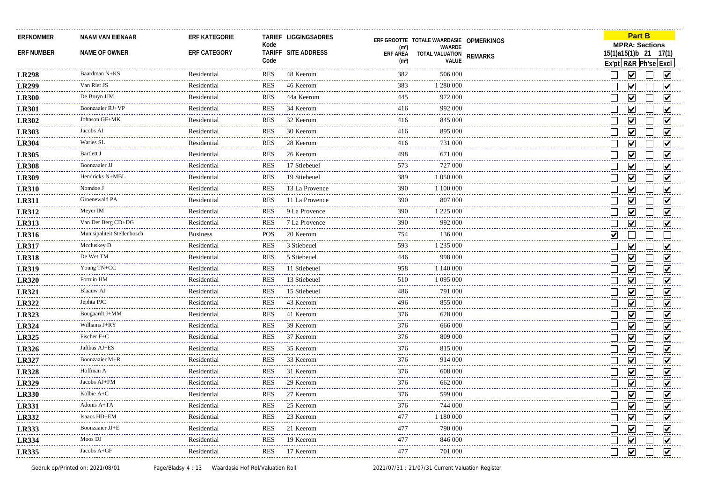| <b>ERFNOMMER</b>  | <b>NAAM VAN EIENAAR</b>     | <b>ERF KATEGORIE</b> | Kode       | TARIEF LIGGINGSADRES |                                                                                                                                                                                                                                                                                                                                                                                                     | ERF GROOTTE TOTALE WAARDASIE OPMERKINGS |                |                      | <b>Part B</b><br><b>MPRA: Sections</b> |                         |
|-------------------|-----------------------------|----------------------|------------|----------------------|-----------------------------------------------------------------------------------------------------------------------------------------------------------------------------------------------------------------------------------------------------------------------------------------------------------------------------------------------------------------------------------------------------|-----------------------------------------|----------------|----------------------|----------------------------------------|-------------------------|
| <b>ERF NUMBER</b> | NAME OF OWNER               | ERF CATEGORY         |            | TARIFF SITE ADDRESS  | (m <sup>2</sup> )<br><b>ERF AREA</b>                                                                                                                                                                                                                                                                                                                                                                | WAARDE<br>TOTAL VALUATION               | <b>REMARKS</b> |                      | 15(1)a15(1)b 21 17(1)                  |                         |
|                   |                             |                      | Code       |                      | (m <sup>2</sup> )                                                                                                                                                                                                                                                                                                                                                                                   | VALUE                                   |                |                      | Ex'pt R&R Ph'se Excl                   |                         |
| <b>LR298</b>      | Baardman N+KS               | Residential          | RES        | 48 Keerom            | 382                                                                                                                                                                                                                                                                                                                                                                                                 | 506 000                                 |                |                      | $\blacktriangledown$                   | M                       |
| <b>LR299</b>      | Van Riet JS                 | Residential          | <b>RES</b> | 46 Keerom            | 383                                                                                                                                                                                                                                                                                                                                                                                                 | 1 280 000                               |                |                      | ▽                                      | V                       |
| <b>LR300</b>      | De Bruyn JJM                | Residential          | <b>RES</b> | 44a Keerom           | 445                                                                                                                                                                                                                                                                                                                                                                                                 | 972 000                                 |                |                      | $\vert\!\vert\mathbf{v}\vert\!\vert$   | M                       |
| <b>LR301</b>      | Boonzaaier RJ+VF            | Residential          | <b>RES</b> | 34 Keerom            | 416                                                                                                                                                                                                                                                                                                                                                                                                 | 992 000                                 |                |                      | $\vert\bm{\mathsf{v}}\vert$            | M                       |
| <b>LR302</b>      | Johnson GF+MK               | Residential          | <b>RES</b> | 32 Keerom            | 416                                                                                                                                                                                                                                                                                                                                                                                                 | 845 000                                 |                |                      | V                                      | V                       |
| <b>LR303</b>      | Jacobs AI                   | Residential          | <b>RES</b> | 30 Keerom            | 416                                                                                                                                                                                                                                                                                                                                                                                                 | 895 000                                 |                |                      | $\overline{\mathbf{v}}$                | ☑                       |
| <b>LR304</b>      | Waries SL                   | Residential          | <b>RES</b> | 28 Keerom            | 416                                                                                                                                                                                                                                                                                                                                                                                                 | 731 000                                 |                |                      | ☑                                      | ⊽                       |
| <b>LR305</b>      | Bartlett J                  | Residential          | <b>RES</b> | 26 Keerom            | 498                                                                                                                                                                                                                                                                                                                                                                                                 | 671 000                                 |                |                      | ☑                                      | ☑                       |
| <b>LR308</b>      | Boonzaaier JJ               | Residential          | <b>RES</b> | 17 Stiebeuel         | 573                                                                                                                                                                                                                                                                                                                                                                                                 | 727 000                                 |                |                      | ☑                                      | ⊽                       |
| <b>LR309</b>      | Hendricks N+MBL             | Residential          | <b>RES</b> | 19 Stiebeuel         | 389                                                                                                                                                                                                                                                                                                                                                                                                 | 1 050 000                               |                |                      | $\blacktriangledown$                   | ⊽                       |
| <b>LR310</b>      | Nomdoe J                    | Residential          | <b>RES</b> | 13 La Provence       | 390                                                                                                                                                                                                                                                                                                                                                                                                 | 1 100 000                               |                |                      | $\blacktriangledown$                   | ☑                       |
| <b>LR311</b>      | Groenewald PA               | Residential          | <b>RES</b> | 11 La Provence       | 390                                                                                                                                                                                                                                                                                                                                                                                                 | 807 000                                 |                |                      | $\vert\!\vert\mathbf{v}\vert\!\vert$   | M                       |
| <b>LR312</b>      | Meyer IM                    | Residential          | <b>RES</b> | 9 La Provence        | 390                                                                                                                                                                                                                                                                                                                                                                                                 | 1 225 000                               |                |                      | $\blacktriangledown$                   | M                       |
| <b>LR313</b>      | Van Der Berg CD+DG          | Residential          | <b>RES</b> | 7 La Provence        | 390                                                                                                                                                                                                                                                                                                                                                                                                 | 992 000                                 |                |                      | $\overline{\mathbf{v}}$                | ☑                       |
| <b>LR316</b>      | Munisipaliteit Stellenboscl | <b>Business</b>      | POS        | 20 Keerom            | 754                                                                                                                                                                                                                                                                                                                                                                                                 | 136 000                                 |                | $\blacktriangledown$ |                                        |                         |
| <b>LR317</b>      | Mccluskey D                 | Residential          | <b>RES</b> | 3 Stiebeuel          | 593                                                                                                                                                                                                                                                                                                                                                                                                 | 1 235 000                               |                |                      | $\blacktriangledown$                   | M                       |
| <b>LR318</b>      | De Wet TM                   | Residential          | <b>RES</b> | 5 Stiebeuel          | 446                                                                                                                                                                                                                                                                                                                                                                                                 | 998 000                                 |                |                      | $\overline{\mathbf{v}}$                | $\overline{\mathsf{v}}$ |
| <b>LR319</b>      | Young TN+CC                 | Residential          | <b>RES</b> | 11 Stiebeuel         | 958                                                                                                                                                                                                                                                                                                                                                                                                 | 1 140 000                               |                |                      | $\overline{\mathbf{v}}$                | ☑                       |
| <b>LR320</b>      | Fortuin HM                  | Residential          | <b>RES</b> | 13 Stiebeuel         | 510                                                                                                                                                                                                                                                                                                                                                                                                 | 1 095 000                               |                |                      | ☑                                      | $\overline{\mathsf{v}}$ |
| <b>LR321</b>      | Blaauw AJ                   | Residential          | <b>RES</b> | 15 Stiebeuel         | 486                                                                                                                                                                                                                                                                                                                                                                                                 | 791 000                                 |                |                      | ☑                                      | ☑                       |
| LR322             | Jephta PJC                  | Residential          | <b>RES</b> | 43 Keerom            | 496                                                                                                                                                                                                                                                                                                                                                                                                 | 855 000                                 |                |                      | $\blacktriangledown$                   | ☑                       |
| LR323             | Bougaardt J+MM              | Residential          | <b>RES</b> | 41 Keerom            | 376                                                                                                                                                                                                                                                                                                                                                                                                 | 628 000                                 |                |                      | ☑                                      | ☑                       |
| LR324             | Williams J+RY               | Residential          | <b>RES</b> | 39 Keerom            | 376<br>$\frac{1}{2} \left( \frac{1}{2} \right) \left( \frac{1}{2} \right) \left( \frac{1}{2} \right) \left( \frac{1}{2} \right)$                                                                                                                                                                                                                                                                    | 666 000                                 |                |                      | $\overline{\mathsf{v}}$                | ☑                       |
| LR325             | Fischer F+C                 | Residential          | <b>RES</b> | 37 Keerom            | 376                                                                                                                                                                                                                                                                                                                                                                                                 | 809 000                                 |                |                      | $\overline{\mathbf{v}}$                | ☑                       |
| <b>LR326</b>      | Jafthas AJ+ES               | Residential          | <b>RES</b> | 35 Keerom            | 376<br>$\frac{1}{2} \frac{1}{2} \frac{1}{2} \frac{1}{2} \frac{1}{2} \frac{1}{2} \frac{1}{2} \frac{1}{2} \frac{1}{2} \frac{1}{2} \frac{1}{2} \frac{1}{2} \frac{1}{2} \frac{1}{2} \frac{1}{2} \frac{1}{2} \frac{1}{2} \frac{1}{2} \frac{1}{2} \frac{1}{2} \frac{1}{2} \frac{1}{2} \frac{1}{2} \frac{1}{2} \frac{1}{2} \frac{1}{2} \frac{1}{2} \frac{1}{2} \frac{1}{2} \frac{1}{2} \frac{1}{2} \frac{$ | 815 000                                 |                |                      | $\overline{\mathbf{v}}$                | ☑                       |
| LR327             | Boonzaaier M+R              | Residential          | <b>RES</b> | 33 Keerom            | 376                                                                                                                                                                                                                                                                                                                                                                                                 | 914 000                                 |                |                      | ▽                                      | $\blacktriangledown$    |
| <b>LR328</b>      | Hoffman A                   | Residential          | <b>RES</b> | 31 Keerom            | 376                                                                                                                                                                                                                                                                                                                                                                                                 | 608 000                                 |                |                      | $\vert\bm{\mathsf{v}}\vert$            | M                       |
| <b>LR329</b>      | Jacobs AJ+FM                | Residential          | <b>RES</b> | 29 Keerom            | 376                                                                                                                                                                                                                                                                                                                                                                                                 | 662 000                                 |                |                      | $\overline{\mathbf{v}}$                | ☑                       |
| <b>LR330</b>      | Kolbie A+C                  | Residential          | <b>RES</b> | 27 Keerom            | 376<br>$\sim$ $\sim$ $\sim$ $\sim$                                                                                                                                                                                                                                                                                                                                                                  | 599 000                                 |                |                      | $\blacktriangledown$                   | M                       |
| <b>LR331</b>      | Adonis A+TA                 | Residential          | <b>RES</b> | 25 Keerom            | 376                                                                                                                                                                                                                                                                                                                                                                                                 | 744 000                                 |                |                      | $\overline{\mathbf{v}}$                | $\overline{\mathbf{v}}$ |
| <b>LR332</b>      | Isaacs HD+EM                | Residential          | <b>RES</b> | 23 Keerom            | 477                                                                                                                                                                                                                                                                                                                                                                                                 | 1 180 000                               |                |                      | $\overline{\mathbf{v}}$                | $\overline{\mathbf{v}}$ |
| <b>LR333</b>      | Boonzaaier JJ+E             | Residential          | <b>RES</b> | 21 Keerom            | 477                                                                                                                                                                                                                                                                                                                                                                                                 | 790 000                                 |                |                      | $\overline{\mathbf{v}}$                | $\overline{\mathbf{v}}$ |
| <b>LR334</b>      | Moos DJ                     | Residential          | <b>RES</b> | 19 Keerom            | 477                                                                                                                                                                                                                                                                                                                                                                                                 | 846 000                                 |                |                      | $\blacktriangledown$                   | $\overline{\mathbf{v}}$ |
| <b>LR335</b>      | Jacobs A+GF                 | Residential          | <b>RES</b> | 17 Keerom            | 477                                                                                                                                                                                                                                                                                                                                                                                                 | 701 000                                 |                |                      | $\overline{\mathbf{v}}$                | $\overline{\mathbf{v}}$ |
|                   |                             |                      |            |                      |                                                                                                                                                                                                                                                                                                                                                                                                     |                                         |                |                      |                                        |                         |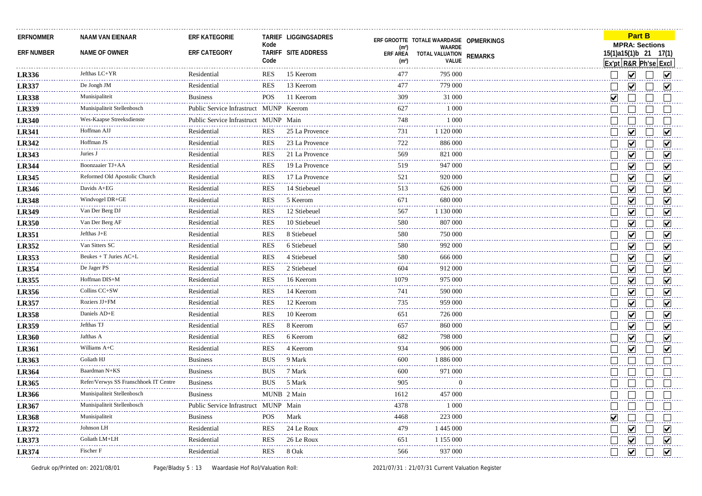| <b>ERFNOMMER</b>  | NAAM VAN EIENAAR                      | <b>ERF KATEGORIE</b>                   | Kode       | TARIEF LIGGINGSADRES | (m <sup>2</sup> )             | ERF GROOTTE TOTALE WAARDASIE OPMERKINGS<br>WAARDE |                |        | <b>Part B</b><br><b>MPRA: Sections</b>  |                         |  |
|-------------------|---------------------------------------|----------------------------------------|------------|----------------------|-------------------------------|---------------------------------------------------|----------------|--------|-----------------------------------------|-------------------------|--|
| <b>ERF NUMBER</b> | <b>NAME OF OWNER</b>                  | ERF CATEGORY                           | Code       | TARIFF SITE ADDRESS  | ERF AREA<br>(m <sup>2</sup> ) | TOTAL VALUATION<br>VALUE                          | <b>REMARKS</b> |        | 15(1)a15(1)b 21<br>Ex'pt R&R Ph'se Excl | 17(1)                   |  |
| <b>LR336</b>      | Jefthas LC+YR                         | Residential                            | <b>RES</b> | 15 Keerom            | 477                           | 795 000                                           |                |        | $\overline{\mathbf{v}}$                 | ☑                       |  |
| <b>LR337</b>      | De Jongh JM                           | Residential                            | <b>RES</b> | 13 Keerom            | 477                           | 779 000                                           |                |        | ▽                                       | ☑                       |  |
| <b>LR338</b>      | Munisipaliteit                        | <b>Business</b>                        | POS        | 11 Keerom            | 309                           | 31 000                                            |                | M      |                                         |                         |  |
| <b>LR339</b>      | Munisipaliteit Stellenbosch           | Public Service Infrastruct MUNP Keerom |            |                      | 627                           | 1 0 0 0                                           |                |        |                                         |                         |  |
| <b>LR340</b>      | Wes-Kaapse Streeksdienste             | Public Service Infrastruct MUNP Main   |            |                      | 748                           | 1 0 0 0                                           |                |        |                                         |                         |  |
| <b>LR341</b>      | Hoffman AJJ                           | Residential                            | <b>RES</b> | 25 La Provence       | 731                           | 1 120 000                                         |                |        | $\vert\bm{\mathsf{v}}\vert$             | V                       |  |
| <b>LR342</b>      | Hoffman JS                            | Residential                            | <b>RES</b> | 23 La Provence       | 722                           | 886 000                                           |                |        | ☑                                       | V                       |  |
| LR343             | Juries J                              | Residential                            | <b>RES</b> | 21 La Provence       | 569                           | 821 000                                           |                |        | $\blacktriangledown$                    | ☑                       |  |
| <b>LR344</b>      | <b>Boonzaaier TJ+AA</b>               | Residential                            | <b>RES</b> | 19 La Provence       | 519                           | 947 000                                           |                |        | ☑                                       | ☑                       |  |
| <b>LR345</b>      | Reformed Old Apostolic Church         | Residential                            | <b>RES</b> | 17 La Provence       | 521                           | 920 000                                           |                |        | ☑                                       | ⊽                       |  |
| <b>LR346</b>      | Davids A+EG                           | Residential                            | <b>RES</b> | 14 Stiebeuel         | 513                           | 626 000                                           |                |        | ⊻                                       | ✔                       |  |
| <b>LR348</b>      | Windvogel DR+GE                       | Residential                            | <b>RES</b> | 5 Keerom             | 671                           | 680 000                                           |                |        | ☑                                       | ☑                       |  |
| <b>LR349</b>      | Van Der Berg DJ                       | Residential                            | <b>RES</b> | 12 Stiebeuel         | 567                           | 1 130 000                                         |                |        | $\blacktriangledown$                    | ☑                       |  |
| <b>LR350</b>      | Van Der Berg AF                       | Residential                            | <b>RES</b> | 10 Stiebeuel         | 580                           | 807 000                                           |                |        | $\vert\!\downarrow\!\vert$              | M                       |  |
| <b>LR351</b>      | Jefthas J+E                           | Residential                            | <b>RES</b> | 8 Stiebeuel          | 580                           | 750 000                                           |                |        | $\overline{\mathbf{v}}$                 | ☑                       |  |
| <b>LR352</b>      | Van Sitters SC                        | Residential                            | <b>RES</b> | 6 Stiebeuel          | 580                           | 992 000                                           |                |        | ☑                                       | ☑                       |  |
| <b>LR353</b>      | Beukes + T Juries AC+L<br><u>.</u>    | Residential                            | <b>RES</b> | 4 Stiebeuel          | 580                           | 666 000                                           |                |        | $\blacktriangledown$                    | ☑                       |  |
| <b>LR354</b>      | De Jager PS                           | Residential                            | <b>RES</b> | 2 Stiebeuel          | 604                           | 912 000                                           |                |        | ☑                                       | V                       |  |
| <b>LR355</b>      | Hoffman DIS+M<br>.                    | Residential                            | <b>RES</b> | 16 Keerom            | 1079                          | 975 000                                           |                |        | ☑                                       | $\overline{\mathbf{v}}$ |  |
| <b>LR356</b>      | Collins CC+SW                         | Residential                            | <b>RES</b> | 14 Keerom            | 741                           | 590 000                                           |                |        | $\overline{\mathbf{v}}$                 | ⊽                       |  |
| <b>LR357</b>      | Roziers JJ+FM                         | Residential                            | <b>RES</b> | 12 Keerom            | 735                           | 959 000                                           |                |        | $\blacktriangledown$                    | ☑                       |  |
| <b>LR358</b>      | Daniels AD+E                          | Residential                            | <b>RES</b> | 10 Keerom            | 651                           | 726 000                                           |                |        | $\blacktriangledown$                    | $\overline{\mathsf{v}}$ |  |
| <b>LR359</b>      | Jefthas TJ                            | Residential                            | <b>RES</b> | 8 Keerom             | 657                           | 860 000                                           |                |        | $\overline{\mathsf{v}}$                 | $\blacktriangledown$    |  |
| <b>LR360</b>      | Jafthas A                             | Residential                            | <b>RES</b> | 6 Keerom             | 682                           | 798 000                                           |                |        | $\overline{\mathbf{v}}$                 | ☑                       |  |
| <b>LR361</b>      | Williams A+C                          | Residential                            | <b>RES</b> | 4 Keerom             | 934                           | 906 000                                           |                |        | $\overline{\mathbf{v}}$                 | $\blacktriangledown$    |  |
| LR363             | Goliath HJ                            | <b>Business</b>                        | <b>BUS</b> | 9 Mark               | 600                           | 1 886 000                                         |                |        |                                         |                         |  |
| LR364             | Baardman N+KS                         | <b>Business</b>                        | <b>BUS</b> | 7 Mark               | 600                           | 971 000                                           |                |        |                                         |                         |  |
| LR365             | Refer/Verwys SS Franschhoek IT Centre | <b>Business</b>                        | <b>BUS</b> | 5 Mark               | 905                           | $\overline{0}$                                    |                |        |                                         |                         |  |
| <b>LR366</b>      | Munisipaliteit Stellenbosch           | <b>Business</b>                        |            | MUNB 2 Main          | 1612                          | 457 000                                           |                |        |                                         |                         |  |
| <b>LR367</b>      | Munisipaliteit Stellenbosch<br>.      | Public Service Infrastruct MUNP Main   |            |                      | 4378                          | 1 0 0 0                                           |                |        |                                         |                         |  |
| <b>LR368</b>      | Munisipaliteit                        | <b>Business</b>                        | <b>POS</b> | Mark                 | 4468                          | 223 000                                           |                | V      |                                         |                         |  |
| LR372             | Johnson LH                            | Residential                            | <b>RES</b> | 24 Le Roux           | 479                           | 1 445 000                                         |                | $\sim$ | $\blacktriangledown$                    | $\overline{\mathbf{v}}$ |  |
| <b>LR373</b>      | Goliath LM+LH                         | Residential                            | <b>RES</b> | 26 Le Roux           | 651                           | 1 155 000                                         |                |        | $\blacktriangledown$                    | $\blacktriangledown$    |  |
| LR374             | Fischer F                             | Residential                            | <b>RES</b> | 8 Oak                | 566                           | 937 000                                           |                | I.     | $\blacktriangledown$                    | $\overline{\mathbf{v}}$ |  |
|                   |                                       |                                        |            |                      |                               |                                                   |                |        |                                         |                         |  |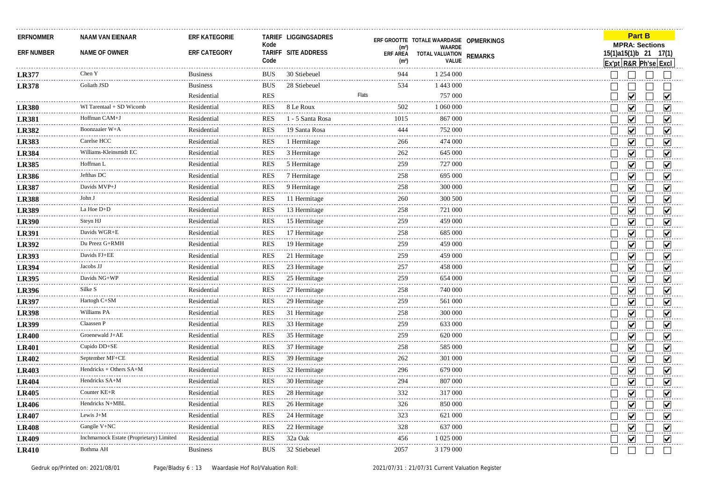| <b>ERFNOMMER</b>  | <b>NAAM VAN EIENAAR</b>                  | <b>ERF KATEGORIE</b> | Kode       | TARIEF LIGGINGSADRES | (m <sup>2</sup> )                    | ERF GROOTTE TOTALE WAARDASIE OPMERKINGS<br><b>WAARDE</b> |                | <b>Part B</b><br><b>MPRA: Sections</b>                 |                         |
|-------------------|------------------------------------------|----------------------|------------|----------------------|--------------------------------------|----------------------------------------------------------|----------------|--------------------------------------------------------|-------------------------|
| <b>ERF NUMBER</b> | NAME OF OWNER                            | ERF CATEGORY         | Code       | TARIFF SITE ADDRESS  | <b>ERF AREA</b><br>(m <sup>2</sup> ) | TOTAL VALUATION<br>VALUE                                 | <b>REMARKS</b> | 15(1)a15(1)b 21 17(1)<br>Ex'pt R&R Ph'sel Excl         |                         |
| <b>LR377</b>      | Chen Y                                   | <b>Business</b>      | <b>BUS</b> | 30 Stiebeuel         | 944                                  | 1 254 000                                                |                |                                                        |                         |
| <b>LR378</b>      | Goliath JSD                              | <b>Business</b>      | <b>BUS</b> | 28 Stiebeuel         | 534                                  | 1 443 000                                                |                |                                                        |                         |
|                   |                                          | Residential          | <b>RES</b> |                      | Flats                                | 757 000                                                  |                | $\blacktriangledown$                                   | $\blacktriangledown$    |
| <b>LR380</b>      | WI Tarentaal + SD Wicomb                 | Residential          | <b>RES</b> | 8 Le Roux            | 502                                  | 1 060 000                                                |                | ☑                                                      | ⊽                       |
| <b>LR381</b>      | Hoffman CAM+J                            | Residential          | <b>RES</b> | 1 - 5 Santa Rosa     | 1015                                 | 867 000                                                  |                | $\blacktriangledown$                                   | ⊽                       |
| <b>LR382</b>      | Boonzaaier W+A                           | Residential          | <b>RES</b> | 19 Santa Rosa        | 444                                  | 752 000                                                  |                | ☑                                                      | ☑                       |
| <b>LR383</b>      | Carelse HCC                              | Residential          | <b>RES</b> | 1 Hermitage          | 266                                  | 474 000                                                  |                | ☑<br>$\sim$                                            | ⊽                       |
| <b>LR384</b>      | Williams-Kleinsmidt EC                   | Residential          | <b>RES</b> | 3 Hermitage          | 262                                  | 645 000                                                  |                | ☑                                                      | ⋁                       |
| <b>LR385</b>      | Hoffman L                                | Residential          | <b>RES</b> | 5 Hermitage          | 259                                  | 727 000                                                  |                | $\blacktriangledown$                                   | ☑                       |
| <b>LR386</b>      | Jefthas DC                               | Residential          | <b>RES</b> | 7 Hermitage          | 258                                  | 695 000                                                  |                | $\blacktriangledown$                                   | $\blacktriangledown$    |
| <b>LR387</b>      | Davids MVP+J                             | Residential          | <b>RES</b> | 9 Hermitage          | 258                                  | 300 000                                                  |                | ☑                                                      | ⊽                       |
| <b>LR388</b>      | John J                                   | Residential          | <b>RES</b> | 11 Hermitage         | 260                                  | 300 500                                                  |                | $\blacktriangledown$                                   | $\blacktriangledown$    |
| <b>LR389</b>      | La Hoe D+D                               | Residential          | <b>RES</b> | 13 Hermitage         | 258                                  | 721 000                                                  |                | $\blacktriangledown$                                   | ☑                       |
| <b>LR390</b>      | Steyn HJ                                 | Residential          | <b>RES</b> | 15 Hermitage         | 259                                  | 459 000                                                  |                | $\blacktriangledown$                                   | ☑                       |
| <b>LR391</b>      | Davids WGR+E<br>.                        | Residential          | <b>RES</b> | 17 Hermitage         | 258                                  | 685 000                                                  |                | $\vert\bm{\mathsf{v}}\vert$                            | M                       |
| <b>LR392</b>      | Du Preez G+RMH                           | Residential          | <b>RES</b> | 19 Hermitage         | 259                                  | 459 000                                                  |                | $\blacktriangledown$                                   | ☑                       |
| <b>LR393</b>      | Davids FJ+EE                             | Residential          | <b>RES</b> | 21 Hermitage         | 259                                  | 459 000                                                  |                | $\blacktriangledown$                                   | V                       |
| <b>LR394</b>      | Jacobs JJ                                | Residential          | <b>RES</b> | 23 Hermitage         | 257                                  | 458 000                                                  |                | $\blacktriangledown$                                   | ✔                       |
| <b>LR395</b>      | Davids NG+WP                             | Residential          | <b>RES</b> | 25 Hermitage         | 259                                  | 654 000                                                  |                | $\blacktriangledown$                                   | ☑                       |
| <b>LR396</b>      | Silke S                                  | Residential          | <b>RES</b> | 27 Hermitage         | 258                                  | 740 000                                                  |                | $\blacktriangledown$                                   | $\blacktriangledown$    |
| <b>LR397</b>      | Hartogh C+SM                             | Residential          | <b>RES</b> | 29 Hermitage         | 259                                  | 561 000                                                  |                | $\overline{\mathsf{v}}$                                | ☑                       |
| <b>LR398</b>      | Williams PA                              | Residential          | <b>RES</b> | 31 Hermitage         | 258                                  | 300 000                                                  |                | $\overline{\mathbf{v}}$                                | $\overline{\mathbf{v}}$ |
| <b>LR399</b>      | Claassen P                               | Residential          | <b>RES</b> | 33 Hermitage         | 259                                  | 633 000                                                  |                | $\overline{\mathbf{v}}$                                | $\blacktriangledown$    |
| <b>LR400</b>      | Groenewald J+AE<br><u>.</u>              | Residential          | <b>RES</b> | 35 Hermitage         | 259                                  | 620 000                                                  |                | $\overline{\mathbf{v}}$                                | ☑                       |
| <b>LR401</b>      | Cupido DD+SE                             | Residential          | <b>RES</b> | 37 Hermitage         | 258                                  | 585 000                                                  |                | $\blacktriangledown$                                   | $\blacktriangledown$    |
| <b>LR402</b>      | September MF+CE                          | Residential          | <b>RES</b> | 39 Hermitage         | 262<br>$\omega$ is $\omega$ in       | 301 000                                                  |                | $\blacktriangledown$                                   | $\blacktriangledown$    |
| <b>LR403</b>      | Hendricks + Others SA+M                  | Residential          | <b>RES</b> | 32 Hermitage         | 296                                  | 679 000                                                  |                | $\blacktriangledown$                                   | $\overline{\mathbf{v}}$ |
| <b>LR404</b>      | Hendricks SA+M                           | Residential          | <b>RES</b> | 30 Hermitage         | 294                                  | 807 000                                                  |                | $\blacktriangledown$<br>$\overline{\phantom{0}}$       | $\blacktriangledown$    |
| <b>LR405</b>      | Counter $KE+R$                           | Residential          | <b>RES</b> | 28 Hermitage         | 332                                  | 317 000                                                  |                | $\overline{\mathbf{v}}$                                | $\overline{\mathbf{v}}$ |
| <b>LR406</b>      | Hendricks N+MBL                          | Residential          | <b>RES</b> | 26 Hermitage         | 326                                  | 850 000                                                  |                | $\blacktriangledown$                                   | $\blacktriangledown$    |
| <b>LR407</b>      | Lewis $J+M$                              | Residential          | <b>RES</b> | 24 Hermitage         | 323                                  | 621 000                                                  |                | $\blacktriangledown$<br>$\sim$                         | $\blacktriangledown$    |
| <b>LR408</b>      | Gangile V+NC                             | Residential          | <b>RES</b> | 22 Hermitage         | 328                                  | 637 000                                                  |                | $\blacktriangledown$                                   | ☑                       |
| <b>LR409</b>      | Inchmarnock Estate (Proprietary) Limited | Residential          | <b>RES</b> | 32a Oak              | 456                                  | 1 025 000                                                |                | $\overline{\mathbf{v}}$<br>$\mathcal{L}_{\mathcal{A}}$ | ☑                       |
| <b>LR410</b>      | Bothma AH                                | <b>Business</b>      | <b>BUS</b> | 32 Stiebeuel         | 2057                                 | 3 179 000                                                |                | $\vert$ $\vert$                                        |                         |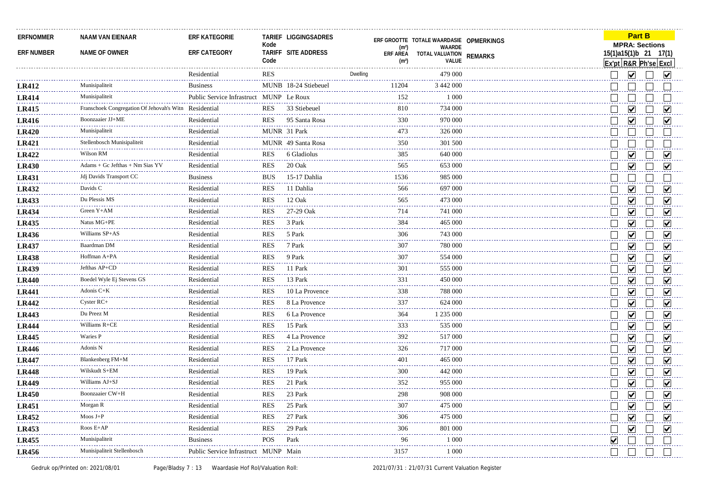| ERFNOMMER<br><b>ERF NUMBER</b> | <b>NAAM VAN EIENAAR</b><br>NAME OF OWNER              | <b>ERF KATEGORIE</b><br>ERF CATEGORY    | Kode<br>Code | TARIEF LIGGINGSADRES<br>TARIFF SITE ADDRESS | (m <sup>2</sup> )<br>ERF AREA<br>(m <sup>2</sup> )                                                                                                                                                                                                                                                                                                                                                 | ERF GROOTTE TOTALE WAARDASIE OPMERKINGS<br>WAARDE<br>TOTAL VALUATION<br>VALUE | <b>REMARKS</b> |                             | <b>MPRA: Sections</b><br>15(1)a15(1)b 21 17(1)<br>Ex'pt R&R Ph'se Excl | <b>Part B</b> |                        |                         |
|--------------------------------|-------------------------------------------------------|-----------------------------------------|--------------|---------------------------------------------|----------------------------------------------------------------------------------------------------------------------------------------------------------------------------------------------------------------------------------------------------------------------------------------------------------------------------------------------------------------------------------------------------|-------------------------------------------------------------------------------|----------------|-----------------------------|------------------------------------------------------------------------|---------------|------------------------|-------------------------|
|                                |                                                       | Residential                             | RES          |                                             | Dwelling                                                                                                                                                                                                                                                                                                                                                                                           | 479 000                                                                       |                |                             | ⊻                                                                      |               | $\vert\mathbf{v}\vert$ |                         |
| <b>LR412</b>                   | Munisipaliteit                                        | <b>Business</b>                         |              | MUNB 18-24 Stiebeuel                        | 11204                                                                                                                                                                                                                                                                                                                                                                                              | 3 442 000                                                                     |                |                             |                                                                        |               |                        |                         |
| <b>LR414</b>                   | Munisipaliteit                                        | Public Service Infrastruct MUNP Le Roux |              |                                             | 152                                                                                                                                                                                                                                                                                                                                                                                                | 1 0 0 0                                                                       |                |                             |                                                                        |               |                        |                         |
| <b>LR415</b>                   | Franschoek Congregation Of Jehovah's Witn Residential |                                         | <b>RES</b>   | 33 Stiebeuel                                | 810                                                                                                                                                                                                                                                                                                                                                                                                | 734 000                                                                       |                |                             | $\bm{\mathsf{v}}$                                                      |               |                        | M                       |
| <b>LR416</b>                   | Boonzaaier JJ+ME                                      | Residential                             | <b>RES</b>   | 95 Santa Rosa                               | 330                                                                                                                                                                                                                                                                                                                                                                                                | 970 000                                                                       |                |                             | V                                                                      |               |                        | V                       |
| <b>LR420</b>                   | Munisipaliteit                                        | Residential                             |              | MUNR 31 Park                                | 473                                                                                                                                                                                                                                                                                                                                                                                                | 326 000                                                                       |                |                             |                                                                        |               |                        |                         |
| <b>LR421</b>                   | Stellenbosch Munisipaliteit                           | Residential                             |              | MUNR 49 Santa Rosa                          | 350                                                                                                                                                                                                                                                                                                                                                                                                | 301 500                                                                       |                |                             |                                                                        |               |                        |                         |
| <b>LR422</b>                   | Wilson RM                                             | Residential                             | <b>RES</b>   | 6 Gladiolus                                 | 385                                                                                                                                                                                                                                                                                                                                                                                                | 640 000                                                                       |                |                             | $\overline{\mathbf{v}}$                                                |               |                        | ⊽                       |
| <b>LR430</b>                   | Adams + Gc Jefthas + Nm Sias YV                       | Residential                             | <b>RES</b>   | 20 Oak                                      | 565                                                                                                                                                                                                                                                                                                                                                                                                | 653 000                                                                       |                |                             | ⊻                                                                      |               |                        | V                       |
| <b>LR431</b>                   | Jdj Davids Transport CC                               | <b>Business</b>                         | <b>BUS</b>   | 15-17 Dahlia                                | 1536                                                                                                                                                                                                                                                                                                                                                                                               | 985 000                                                                       |                |                             |                                                                        |               |                        |                         |
| <b>LR432</b>                   | Davids C                                              | Residential                             | <b>RES</b>   | 11 Dahlia                                   | 566                                                                                                                                                                                                                                                                                                                                                                                                | 697 000                                                                       |                |                             | $\blacktriangledown$                                                   |               |                        | M                       |
| <b>LR433</b>                   | Du Plessis MS                                         | Residential                             | <b>RES</b>   | 12 Oak                                      | 565                                                                                                                                                                                                                                                                                                                                                                                                | 473 000                                                                       |                |                             | ☑                                                                      |               |                        | ☑                       |
| <b>LR434</b>                   | Green Y+AM                                            | Residential                             | <b>RES</b>   | 27-29 Oak                                   | 714                                                                                                                                                                                                                                                                                                                                                                                                | 741 000                                                                       |                |                             | $\overline{\mathbf{v}}$                                                |               |                        | ☑                       |
| <b>LR435</b>                   | Natus MG+PE                                           | Residential                             | <b>RES</b>   | 3 Park                                      | 384                                                                                                                                                                                                                                                                                                                                                                                                | 465 000                                                                       |                |                             | ☑                                                                      |               |                        | ☑                       |
| <b>LR436</b>                   | Williams SP+AS                                        | Residential                             | <b>RES</b>   | 5 Park                                      | 306                                                                                                                                                                                                                                                                                                                                                                                                | 743 000                                                                       |                |                             | $\blacktriangledown$                                                   |               |                        | ✔                       |
| <b>LR437</b>                   | Baardman DM                                           | Residential                             | <b>RES</b>   | 7 Park                                      | 307                                                                                                                                                                                                                                                                                                                                                                                                | 780 000                                                                       |                |                             | ⊻                                                                      |               |                        | V                       |
| <b>LR438</b>                   | Hoffman A+PA                                          | Residential                             | <b>RES</b>   | 9 Park                                      | 307                                                                                                                                                                                                                                                                                                                                                                                                | 554 000                                                                       |                |                             | ☑                                                                      |               |                        | V                       |
| <b>LR439</b>                   | Jefthas AP+CD                                         | Residential                             | <b>RES</b>   | 11 Park                                     | 301                                                                                                                                                                                                                                                                                                                                                                                                | 555 000                                                                       |                |                             | $\vert\!\vert\mathbf{v}\vert\!\vert$                                   |               |                        | V                       |
| <b>LR440</b>                   | Boedel Wyle Ej Stevens GS                             | Residential                             | <b>RES</b>   | 13 Park                                     | 331                                                                                                                                                                                                                                                                                                                                                                                                | 450 000                                                                       |                |                             | ☑                                                                      |               |                        | ✔                       |
| <b>LR441</b>                   | Adonis C+K<br>.                                       | Residential                             | <b>RES</b>   | 10 La Provence                              | 338                                                                                                                                                                                                                                                                                                                                                                                                | 788 000                                                                       |                |                             | $\overline{\mathbf{v}}$                                                |               |                        | ☑                       |
| <b>LR442</b>                   | Cyster RC+                                            | Residential                             | <b>RES</b>   | 8 La Provence                               | 337                                                                                                                                                                                                                                                                                                                                                                                                | 624 000                                                                       |                |                             | $\overline{\blacktriangledown}$                                        |               |                        | ☑                       |
| <b>LR443</b>                   | Du Preez M                                            | Residential                             | <b>RES</b>   | 6 La Provence                               | 364                                                                                                                                                                                                                                                                                                                                                                                                | 1 235 000                                                                     |                |                             | ☑                                                                      |               |                        | ☑                       |
| <b>LR444</b>                   | Williams R+CE                                         | Residential                             | <b>RES</b>   | 15 Park                                     | 333                                                                                                                                                                                                                                                                                                                                                                                                | 535 000                                                                       |                |                             | $\overline{\mathsf{v}}$                                                |               |                        | $\blacktriangledown$    |
| <b>LR445</b>                   | Waries P                                              | Residential                             | <b>RES</b>   | 4 La Provence                               | 392                                                                                                                                                                                                                                                                                                                                                                                                | 517 000                                                                       |                |                             | $\blacktriangledown$                                                   |               |                        | $\blacktriangledown$    |
| <b>LR446</b>                   | Adonis N                                              | Residential                             | <b>RES</b>   | 2 La Provence                               | 326                                                                                                                                                                                                                                                                                                                                                                                                | 717 000                                                                       |                |                             | $\overline{\mathbf{v}}$                                                |               |                        | $\overline{\mathbf{v}}$ |
| <b>LR447</b>                   | Blankenberg FM+M                                      | Residential                             | <b>RES</b>   | 17 Park                                     | 401                                                                                                                                                                                                                                                                                                                                                                                                | 465 000                                                                       |                |                             | $\overline{\blacktriangledown}$                                        |               |                        | $\blacktriangledown$    |
| <b>LR448</b>                   | Wilskudt S+EM                                         | Residential                             | <b>RES</b>   | 19 Park                                     | 300                                                                                                                                                                                                                                                                                                                                                                                                | 442 000                                                                       |                |                             | $\overline{\mathbf{v}}$                                                |               |                        | $\blacktriangledown$    |
| <b>LR449</b>                   | Williams AJ+SJ                                        | Residential                             | <b>RES</b>   | 21 Park                                     | 352                                                                                                                                                                                                                                                                                                                                                                                                | 955 000                                                                       |                | $\vert$                     | $\overline{\mathbf{v}}$                                                |               |                        | $\overline{\mathbf{v}}$ |
| <b>LR450</b>                   | <b>Boonzaaier CW+H</b>                                | Residential                             | <b>RES</b>   | 23 Park                                     | 298                                                                                                                                                                                                                                                                                                                                                                                                | 908 000                                                                       |                |                             | ☑                                                                      |               |                        | ☑                       |
| <b>LR451</b>                   | Morgan R                                              | Residential                             | <b>RES</b>   | 25 Park                                     | 307                                                                                                                                                                                                                                                                                                                                                                                                | 475 000                                                                       |                | $\Box$                      | $\overline{\mathbf{v}}$                                                |               |                        | $\overline{\mathbf{v}}$ |
| <b>LR452</b>                   | $M$ oos $J+P$                                         | Residential                             | <b>RES</b>   | 27 Park                                     | لاستعماء<br>306                                                                                                                                                                                                                                                                                                                                                                                    | 475 000                                                                       |                |                             | ☑                                                                      |               |                        | ☑                       |
| LR453                          | Roos $E+AP$                                           | Residential                             | <b>RES</b>   | 29 Park                                     | 306                                                                                                                                                                                                                                                                                                                                                                                                | 801 000                                                                       |                | $\mathcal{L}_{\mathcal{A}}$ | ☑                                                                      |               | ☑                      |                         |
| <b>LR455</b>                   | Munisipaliteit                                        | <b>Business</b>                         | POS          | ------<br>Park                              | $\frac{1}{2} \frac{1}{2} \frac{1}{2} \frac{1}{2} \frac{1}{2} \frac{1}{2} \frac{1}{2} \frac{1}{2} \frac{1}{2} \frac{1}{2} \frac{1}{2} \frac{1}{2} \frac{1}{2} \frac{1}{2} \frac{1}{2} \frac{1}{2} \frac{1}{2} \frac{1}{2} \frac{1}{2} \frac{1}{2} \frac{1}{2} \frac{1}{2} \frac{1}{2} \frac{1}{2} \frac{1}{2} \frac{1}{2} \frac{1}{2} \frac{1}{2} \frac{1}{2} \frac{1}{2} \frac{1}{2} \frac{$<br>96 | 1 0 0 0                                                                       |                | M                           |                                                                        |               |                        |                         |
| <b>LR456</b>                   | Munisipaliteit Stellenbosch                           | Public Service Infrastruct MUNP Main    |              |                                             | 3157                                                                                                                                                                                                                                                                                                                                                                                               | 1 000                                                                         |                | $\vert$                     |                                                                        |               |                        |                         |
|                                |                                                       |                                         |              |                                             |                                                                                                                                                                                                                                                                                                                                                                                                    |                                                                               |                |                             |                                                                        |               |                        |                         |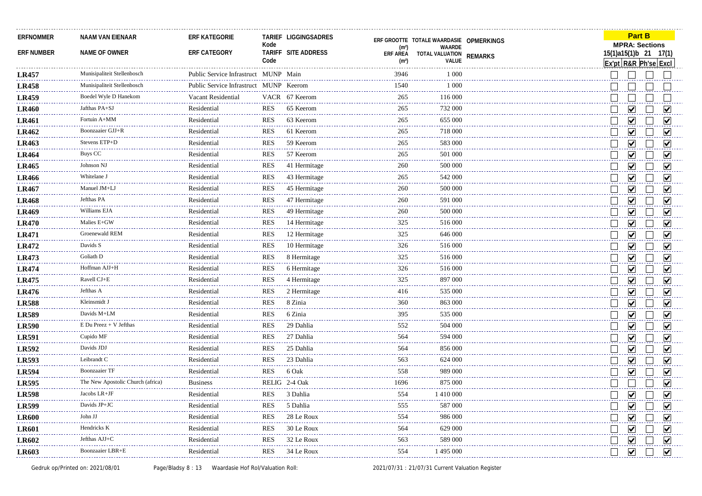| <b>ERFNOMMER</b>  | <b>NAAM VAN EIENAAR</b>           | <b>ERF KATEGORIE</b>                   | Kode       | TARIEF LIGGINGSADRES |                                      | ERF GROOTTE TOTALE WAARDASIE OPMERKINGS |                |    | <b>MPRA: Sections</b>                | <b>Part B</b> |                         |
|-------------------|-----------------------------------|----------------------------------------|------------|----------------------|--------------------------------------|-----------------------------------------|----------------|----|--------------------------------------|---------------|-------------------------|
| <b>ERF NUMBER</b> | NAME OF OWNER                     | ERF CATEGORY                           |            | TARIFF SITE ADDRESS  | (m <sup>2</sup> )<br><b>ERF AREA</b> | WAARDE<br>TOTAL VALUATION               | <b>REMARKS</b> |    | 15(1)a15(1)b 21 17(1)                |               |                         |
|                   |                                   |                                        | Code       |                      | (m <sup>2</sup> )                    | VALUE                                   |                |    | Ex'pt R&R Ph'se Excl                 |               |                         |
| <b>LR457</b>      | Munisipaliteit Stellenbosch       | Public Service Infrastruct MUNP Main   |            |                      | 3946                                 | 1 0 0 0                                 |                |    |                                      |               |                         |
| <b>LR458</b>      | Munisipaliteit Stellenbosch       | Public Service Infrastruct MUNP Keerom |            |                      | 1540                                 | 1 0 0 0                                 |                |    |                                      |               |                         |
| <b>LR459</b>      | Boedel Wyle D Hanekom             | Vacant Residential                     |            | VACR 67 Keerom       | 265                                  | 116 000                                 |                |    |                                      |               |                         |
| <b>LR460</b>      | Jafthas PA+SJ                     | Residential                            | <b>RES</b> | 65 Keerom            | 265                                  | 732 000                                 |                |    | $\vert\bm{\mathsf{v}}\vert$          |               | M                       |
| <b>LR461</b>      | Fortuin A+MM                      | Residential                            | <b>RES</b> | 63 Keerom            | 265                                  | 655 000                                 |                |    | ☑                                    |               | ☑                       |
| <b>LR462</b>      | Boonzaaier GJJ+R                  | Residential                            | <b>RES</b> | 61 Keerom            | 265                                  | 718 000                                 |                |    | $\blacktriangledown$                 |               | ☑                       |
| <b>LR463</b>      | Stevens ETP+D                     | Residential                            | <b>RES</b> | 59 Keerom            | 265                                  | 583 000                                 |                |    | ⊻                                    |               | V                       |
| <b>LR464</b>      | Buys CC                           | Residential                            | <b>RES</b> | 57 Keerom            | 265                                  | 501 000                                 |                |    | ☑                                    |               | ☑                       |
| <b>LR465</b>      | Johnson NJ                        | Residential                            | <b>RES</b> | 41 Hermitage         | 260                                  | 500 000                                 |                |    | ☑                                    |               | ⋁                       |
| LR466             | Whitelane J                       | Residential                            | <b>RES</b> | 43 Hermitage         | 265                                  | 542 000                                 |                |    | ☑                                    |               | M                       |
| <b>LR467</b>      | Manuel JM+LJ                      | Residential                            | <b>RES</b> | 45 Hermitage         | 260                                  | 500 000                                 |                |    | $\overline{\mathbf{v}}$              |               | ☑                       |
| <b>LR468</b>      | Jefthas PA                        | Residential                            | <b>RES</b> | 47 Hermitage         | 260                                  | 591 000                                 |                |    | ☑                                    |               | ⊽                       |
| <b>LR469</b>      | Williams EJA                      | Residential                            | <b>RES</b> | 49 Hermitage         | 260                                  | 500 000                                 |                |    | $\overline{\mathbf{v}}$              |               | ☑                       |
| <b>LR470</b>      | Malies E+GW                       | Residential                            | <b>RES</b> | 14 Hermitage         | 325                                  | 516 000                                 |                |    | ☑                                    |               | ☑                       |
| <b>LR471</b>      | Groenewald REM                    | Residential                            | <b>RES</b> | 12 Hermitage         | 325                                  | 646 000                                 |                |    | ⊻                                    |               | ☑                       |
| <b>LR472</b>      | Davids S                          | Residential                            | <b>RES</b> | 10 Hermitage         | 326                                  | 516 000                                 |                |    | V                                    |               | V                       |
| <b>LR473</b>      | Goliath D                         | Residential                            | <b>RES</b> | 8 Hermitage          | 325                                  | 516 000                                 |                |    | $\overline{\mathbf{v}}$              |               | ☑                       |
| <b>LR474</b>      | Hoffman AJJ+H                     | Residential                            | <b>RES</b> | 6 Hermitage          | 326                                  | 516 000                                 |                |    | $\overline{\mathsf{v}}$              |               | $\overline{\mathsf{v}}$ |
| <b>LR475</b>      | Ravell CJ+E                       | Residential                            | <b>RES</b> | 4 Hermitage          | 325                                  | 897 000                                 |                |    | $\blacktriangledown$                 |               | ☑                       |
| <b>LR476</b>      | Jefthas A                         | Residential                            | <b>RES</b> | 2 Hermitage          | 416                                  | 535 000                                 |                |    | $\blacktriangledown$                 |               | $\overline{\mathsf{v}}$ |
| <b>LR588</b>      | Kleinsmidt J                      | Residential                            | <b>RES</b> | 8 Zinia              | 360                                  | 863 000                                 |                |    | ☑                                    |               | $\overline{\mathbf{v}}$ |
| <b>LR589</b>      | Davids M+LM                       | Residential                            | <b>RES</b> | 6 Zinia              | 395                                  | 535 000                                 |                |    | $\overline{\blacktriangledown}$      |               | $\blacktriangledown$    |
| <b>LR590</b>      | $E$ Du Preez + V Jefthas          | Residential                            | <b>RES</b> | 29 Dahlia            | 552                                  | 504 000                                 |                |    | $\overline{\mathbf{v}}$              |               | $\overline{\mathbf{v}}$ |
| <b>LR591</b>      | Cupido MF                         | Residential                            | <b>RES</b> | 27 Dahlia            | 564                                  | 594 000                                 |                |    | $\blacktriangledown$                 |               | $\blacktriangledown$    |
| LR592             | Davids JDJ                        | Residential                            | <b>RES</b> | 25 Dahlia            | 564                                  | 856 000                                 |                |    | $\overline{\mathsf{v}}$              |               | $\blacktriangledown$    |
| <b>LR593</b>      | Leibrandt C                       | Residential                            | <b>RES</b> | 23 Dahlia            | 563                                  | 624 000                                 |                |    | $\overline{\mathbf{v}}$              |               | $\blacktriangledown$    |
| <b>LR594</b>      | <b>Boonzaaier TF</b>              | Residential                            | <b>RES</b> | 6 Oak                | 558                                  | 989 000                                 |                |    | $\overline{\mathbf{v}}$              |               | ☑                       |
| <b>LR595</b>      | The New Apostolic Church (africa) | <b>Business</b>                        |            | RELIG 2-4 Oak        | 1696                                 | 875 000                                 |                |    |                                      |               | $\blacktriangledown$    |
| <b>LR598</b>      | Jacobs LR+JF                      | Residential                            | <b>RES</b> | 3 Dahlia             | 554                                  | 1410 000                                |                |    | V                                    |               | V                       |
| <b>LR599</b>      | Davids JP+JC                      | Residential                            | <b>RES</b> | 5 Dahlia             | 555                                  | 587 000                                 |                |    | $\vert\!\vert\mathbf{v}\vert\!\vert$ |               | ☑                       |
| <b>LR600</b>      | John JJ                           | Residential                            | <b>RES</b> | 28 Le Roux           | 554                                  | 986 000                                 |                |    | $\blacktriangledown$                 |               | $\overline{\mathsf{v}}$ |
| <b>LR601</b>      | Hendricks K                       | Residential                            | <b>RES</b> | 30 Le Roux           | 564                                  | 629 000                                 |                |    | $\vert\!\vert\mathbf{v}\vert\!\vert$ |               | $\overline{\mathbf{v}}$ |
| LR602             | Jefthas AJJ+C                     | Residential                            | <b>RES</b> | 32 Le Roux           | 563                                  | 589 000                                 |                |    | ☑                                    |               | $\blacktriangledown$    |
| <b>LR603</b>      | Boonzaaier LBR+E                  | Residential                            | <b>RES</b> | 34 Le Roux           | 554                                  | 1 495 000                               |                | I. | $\blacktriangledown$                 |               | $\overline{\mathbf{v}}$ |
|                   |                                   |                                        |            |                      |                                      |                                         |                |    |                                      |               |                         |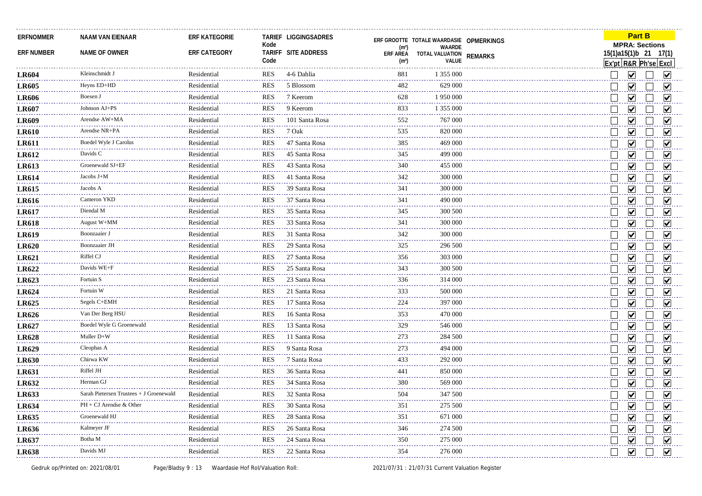| ERFNOMMER         | <b>NAAM VAN EIENAAR</b>                 | <b>ERF KATEGORIE</b> |            | -------------------------<br>TARIEF LIGGINGSADRES |                                      | ERF GROOTTE TOTALE WAARDASIE OPMERKINGS |                | .<br><b>Part B</b>                            |                             |
|-------------------|-----------------------------------------|----------------------|------------|---------------------------------------------------|--------------------------------------|-----------------------------------------|----------------|-----------------------------------------------|-----------------------------|
| <b>ERF NUMBER</b> | NAME OF OWNER                           | ERF CATEGORY         | Kode       | TARIFF SITE ADDRESS                               | (m <sup>2</sup> )                    | WAARDE                                  |                | <b>MPRA: Sections</b>                         |                             |
|                   |                                         |                      | Code       |                                                   | <b>ERF AREA</b><br>(m <sup>2</sup> ) | TOTAL VALUATION<br>VALUE                | <b>REMARKS</b> | 15(1)a15(1)b 21 17(1)<br>Ex'pt R&R Ph'se Excl |                             |
| <b>LR604</b>      | Kleinschmidt J                          | Residential          | RES        | 4-6 Dahlia                                        | 881                                  | 1 355 000                               |                | $\blacktriangledown$                          | V                           |
| <b>LR605</b>      | Heyns ED+HD                             | Residential          | <b>RES</b> | 5 Blossom                                         | 482                                  | 629 000                                 |                | $\blacktriangledown$                          | $\blacktriangledown$        |
| <b>LR606</b>      | Boesen J                                | Residential          | <b>RES</b> | 7 Keerom                                          | 628                                  | 1950000                                 |                | $\blacktriangledown$                          | M                           |
| <b>LR607</b>      | Johnson AJ+PS                           | Residential          | <b>RES</b> | 9 Keerom                                          | 833                                  | 1 355 000                               |                | V                                             | M                           |
| <b>LR609</b>      | Arendse AW+MA                           | Residential          | <b>RES</b> | 101 Santa Rosa                                    | 552                                  | 767 000                                 |                | $\blacktriangledown$                          | V                           |
| <b>LR610</b>      | Arendse NR+PA                           | Residential          | <b>RES</b> | 7 Oak                                             | 535                                  | 820 000                                 |                | $\blacktriangledown$                          | $\blacktriangledown$        |
| <b>LR611</b>      | Boedel Wyle J Carolus                   | Residential          | <b>RES</b> | 47 Santa Rosa                                     | 385                                  | 469 000                                 |                | $\overline{\mathbf{v}}$                       | ☑                           |
| <b>LR612</b>      | Davids C                                | Residential          | <b>RES</b> | 45 Santa Rosa                                     | 345                                  | 499 000                                 |                | $\overline{\mathbf{v}}$                       | $\blacktriangledown$        |
| <b>LR613</b>      | Groenewald SJ+EF                        | Residential          | <b>RES</b> | 43 Santa Rosa                                     | 340                                  | 455 000                                 |                | ⊽                                             | ⊽                           |
| <b>LR614</b>      | Jacobs $J+M$                            | Residential          | <b>RES</b> | 41 Santa Rosa                                     | 342                                  | 300 000                                 |                | ⊽                                             | ☑                           |
| <b>LR615</b>      | Jacobs A                                | Residential          | <b>RES</b> | 39 Santa Rosa                                     | 341                                  | 300 000                                 |                | $\blacktriangledown$                          | ☑                           |
| <b>LR616</b>      | Cameron YKD                             | Residential          | <b>RES</b> | 37 Santa Rosa                                     | 341                                  | 490 000                                 |                | $\vert\!\downarrow\!\mid$                     | M                           |
| <b>LR617</b>      | Diendal M                               | Residential          | <b>RES</b> | 35 Santa Rosa                                     | 345                                  | 300 500                                 |                | ✔                                             | ☑                           |
| <b>LR618</b>      | August W+MM                             | Residential          | <b>RES</b> | 33 Santa Rosa                                     | 341                                  | 300 000                                 |                | $\overline{\mathbf{v}}$                       | $\blacktriangledown$        |
| <b>LR619</b>      | Boonzaaier J<br>.                       | Residential          | <b>RES</b> | 31 Santa Rosa                                     | 342                                  | 300 000                                 |                | ✔                                             | ☑                           |
| <b>LR620</b>      | <b>Boonzaaier JH</b>                    | Residential          | <b>RES</b> | 29 Santa Rosa                                     | 325                                  | 296 500                                 |                | ⊻                                             | $\overline{\mathbf{v}}$     |
| <b>LR621</b>      | Riffel CJ                               | Residential          | <b>RES</b> | 27 Santa Rosa                                     | 356                                  | 303 000                                 |                | $\overline{\mathbf{v}}$                       | ☑                           |
| <b>LR622</b>      | Davids WE+F                             | Residential          | <b>RES</b> | 25 Santa Rosa                                     | 343                                  | 300 500                                 |                | $\blacktriangledown$                          | $\overline{\mathbf{v}}$     |
| LR623             | Fortuin S                               | Residential          | <b>RES</b> | 23 Santa Rosa                                     | 336                                  | 314 000                                 |                | ☑                                             | ☑                           |
| LR624             | Fortuin W                               | Residential          | <b>RES</b> | 21 Santa Rosa                                     | 333                                  | 500 000                                 |                | $\blacktriangledown$                          | $\overline{\mathbf{v}}$     |
| LR625             | Segels C+EMH                            | Residential          | <b>RES</b> | 17 Santa Rosa                                     | 224                                  | 397 000                                 |                | $\overline{\mathbf{v}}$                       | $\blacktriangledown$        |
| <b>LR626</b>      | Van Der Berg HSU                        | Residential          | <b>RES</b> | 16 Santa Rosa                                     | 353                                  | 470 000                                 |                | $\blacktriangledown$                          | ☑                           |
| <b>LR627</b>      | Boedel Wyle G Groenewald                | Residential          | <b>RES</b> | 13 Santa Rosa                                     | 329<br>المالمالما                    | 546 000                                 |                | $\overline{\mathsf{v}}$                       | $\overline{\mathbf{v}}$     |
| <b>LR628</b>      | Muller D+W                              | Residential          | <b>RES</b> | 11 Santa Rosa                                     | 273                                  | 284 500                                 |                | ✔                                             | ☑                           |
| <b>LR629</b>      | Cleophas A                              | Residential          | <b>RES</b> | 9 Santa Rosa                                      | 273<br>لأعامي                        | 494 000                                 |                | $\overline{\mathbf{v}}$                       | ☑                           |
| <b>LR630</b>      | Chirwa KW                               | Residential          | <b>RES</b> | 7 Santa Rosa                                      | 433                                  | 292 000                                 |                | ✔                                             | $\blacktriangledown$        |
| <b>LR631</b>      | Riffel JH                               | Residential          | <b>RES</b> | 36 Santa Rosa                                     | 441                                  | 850 000                                 |                | ⊻                                             | M                           |
| LR632             | Herman GJ                               | Residential          | <b>RES</b> | 34 Santa Rosa                                     | 380                                  | 569 000                                 |                | V                                             | ☑                           |
| <b>LR633</b>      | Sarah Pietersen Trustees + J Groenewald | Residential          | <b>RES</b> | 32 Santa Rosa                                     | 504<br>وعاديا                        | 347 500                                 |                | $\vert\mathbf{v}\vert$                        | $\vert\bm{\mathsf{v}}\vert$ |
| <b>LR634</b>      | PH + CJ Arendse & Other                 | Residential          | <b>RES</b> | 30 Santa Rosa                                     | 351                                  | 275 500                                 |                | $\overline{\mathbf{v}}$                       | $\blacktriangledown$        |
| <b>LR635</b>      | Groenewald HJ                           | Residential          | <b>RES</b> | 28 Santa Rosa                                     | 351                                  | 671 000                                 |                | $\blacktriangledown$                          | $\overline{\mathbf{v}}$     |
| <b>LR636</b>      | Kalmeyer JF                             | Residential          | <b>RES</b> | 26 Santa Rosa                                     | 346                                  | 274 500                                 |                | $\blacktriangledown$                          | $\blacktriangledown$        |
| LR637             | Botha M                                 | Residential          | <b>RES</b> | 24 Santa Rosa                                     | 350                                  | 275 000                                 |                | ⊻                                             | $\blacktriangledown$        |
| <b>LR638</b>      | Davids MJ                               | Residential          | <b>RES</b> | 22 Santa Rosa                                     | 354                                  | 276 000                                 |                | $\blacktriangledown$                          | $\overline{\mathbf{v}}$     |
|                   |                                         |                      |            |                                                   |                                      |                                         |                |                                               |                             |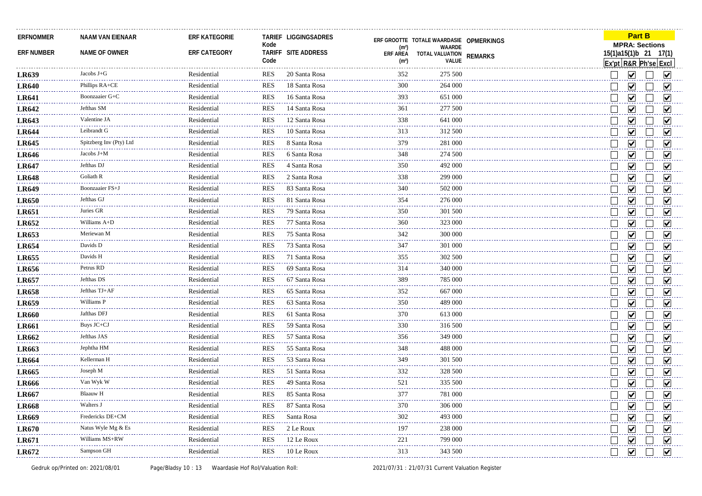| ERFNOMMER         | <b>NAAM VAN EIENAAR</b>      | <b>ERF KATEGORIE</b> |            | TARIEF LIGGINGSADRES |                                                                                                                                                                                                                                                                                                                                                                                                     | ERF GROOTTE TOTALE WAARDASIE OPMERKINGS |                | <b>Part B</b>                        |                         |
|-------------------|------------------------------|----------------------|------------|----------------------|-----------------------------------------------------------------------------------------------------------------------------------------------------------------------------------------------------------------------------------------------------------------------------------------------------------------------------------------------------------------------------------------------------|-----------------------------------------|----------------|--------------------------------------|-------------------------|
| <b>ERF NUMBER</b> | NAME OF OWNER                | ERF CATEGORY         | Kode       | TARIFF SITE ADDRESS  | (m <sup>2</sup> )                                                                                                                                                                                                                                                                                                                                                                                   | WAARDE                                  |                | <b>MPRA: Sections</b>                | 15(1)a15(1)b 21 17(1)   |
|                   |                              |                      | Code       |                      | <b>ERF AREA</b><br>(m <sup>2</sup> )                                                                                                                                                                                                                                                                                                                                                                | TOTAL VALUATION<br>VALUE                | <b>REMARKS</b> |                                      | Ex'pt R&R Ph'se Excl    |
| <b>LR639</b>      | Jacobs $J+G$                 | Residential          | RES        | 20 Santa Rosa        | 352                                                                                                                                                                                                                                                                                                                                                                                                 | 275 500                                 |                | $\blacktriangledown$                 | M                       |
| <b>LR640</b>      | Phillips RA+CE               | Residential          | <b>RES</b> | 18 Santa Rosa        | 300                                                                                                                                                                                                                                                                                                                                                                                                 | 264 000                                 |                | $\blacktriangledown$                 | ☑                       |
| <b>LR641</b>      | Boonzaaier G+C               | Residential          | <b>RES</b> | 16 Santa Rosa        | 393                                                                                                                                                                                                                                                                                                                                                                                                 | 651 000                                 |                | $\vert\!\vert\mathbf{v}\vert\!\vert$ | M                       |
| <b>LR642</b>      | Jefthas SM                   | Residential          | <b>RES</b> | 14 Santa Rosa        | 361                                                                                                                                                                                                                                                                                                                                                                                                 | 277 500                                 |                | V                                    | M                       |
| LR643             | Valentine JA                 | Residential          | <b>RES</b> | 12 Santa Rosa        | 338                                                                                                                                                                                                                                                                                                                                                                                                 | 641 000                                 |                | $\overline{\mathsf{v}}$              | V                       |
| <b>LR644</b>      | Leibrandt G                  | Residential          | <b>RES</b> | 10 Santa Rosa        | 313                                                                                                                                                                                                                                                                                                                                                                                                 | 312 500                                 |                | $\blacktriangledown$                 | $\blacktriangledown$    |
| <b>LR645</b>      | Spitzberg Inv (Pty) Lto      | Residential          | <b>RES</b> | 8 Santa Rosa         | 379                                                                                                                                                                                                                                                                                                                                                                                                 | 281 000                                 |                | ⊻                                    | $\blacktriangledown$    |
| <b>LR646</b>      | Jacobs J+M                   | Residential          | <b>RES</b> | 6 Santa Rosa         | 348                                                                                                                                                                                                                                                                                                                                                                                                 | 274 500                                 |                | ☑                                    | $\blacktriangledown$    |
| <b>LR647</b>      | Jefthas DJ                   | Residential          | <b>RES</b> | 4 Santa Rosa         | 350                                                                                                                                                                                                                                                                                                                                                                                                 | 492 000                                 |                | $\vert\!\vert\mathbf{v}\vert\!\vert$ | M                       |
| <b>LR648</b>      | Goliath R                    | Residential          | <b>RES</b> | 2 Santa Rosa         | 338                                                                                                                                                                                                                                                                                                                                                                                                 | 299 000                                 |                | $\vert\!\downarrow\!\mid$            | ⋈                       |
| <b>LR649</b>      | Boonzaaier FS+J              | Residential          | <b>RES</b> | 83 Santa Rosa        | 340                                                                                                                                                                                                                                                                                                                                                                                                 | 502 000                                 |                | $\overline{\mathsf{v}}$              | ☑                       |
| <b>LR650</b>      | Jefthas GJ                   | Residential          | <b>RES</b> | 81 Santa Rosa        | 354                                                                                                                                                                                                                                                                                                                                                                                                 | 276 000                                 |                | $\overline{\mathsf{v}}$              | ⊽                       |
| <b>LR651</b>      | Juries GR                    | Residential          | <b>RES</b> | 79 Santa Rosa        | 350                                                                                                                                                                                                                                                                                                                                                                                                 | 301 500                                 |                | $\overline{\mathbf{v}}$              | ☑                       |
| <b>LR652</b>      | Williams A+D                 | Residential          | <b>RES</b> | 77 Santa Rosa        | 360                                                                                                                                                                                                                                                                                                                                                                                                 | 323 000                                 |                | $\overline{\mathbf{v}}$              | ☑                       |
| <b>LR653</b>      | Meriewan M                   | Residential          | <b>RES</b> | 75 Santa Rosa        | 342                                                                                                                                                                                                                                                                                                                                                                                                 | 300 000                                 |                | $\blacktriangledown$                 | M                       |
| <b>LR654</b>      | Davids D                     | Residential          | <b>RES</b> | 73 Santa Rosa        | 347                                                                                                                                                                                                                                                                                                                                                                                                 | 301 000                                 |                | $\blacktriangledown$                 | M                       |
| <b>LR655</b>      | Davids H                     | Residential          | <b>RES</b> | 71 Santa Rosa        | 355                                                                                                                                                                                                                                                                                                                                                                                                 | 302 500                                 |                | $\blacktriangledown$                 | $\blacktriangledown$    |
| <b>LR656</b>      | Petrus RD                    | Residential          | <b>RES</b> | 69 Santa Rosa        | 314                                                                                                                                                                                                                                                                                                                                                                                                 | 340 000                                 |                | $\overline{\mathsf{v}}$              | $\overline{\mathbf{v}}$ |
| <b>LR657</b>      | Jefthas DS<br><u>.</u>       | Residential          | <b>RES</b> | 67 Santa Rosa        | 389                                                                                                                                                                                                                                                                                                                                                                                                 | 785 000                                 |                | $\overline{\mathbf{v}}$              | $\overline{\mathbf{v}}$ |
| <b>LR658</b>      | Jefthas TJ+AF                | Residential          | <b>RES</b> | 65 Santa Rosa        | 352                                                                                                                                                                                                                                                                                                                                                                                                 | 667 000                                 |                | $\blacktriangledown$                 | ☑                       |
| <b>LR659</b>      | Williams P                   | Residential          | <b>RES</b> | 63 Santa Rosa        | 350                                                                                                                                                                                                                                                                                                                                                                                                 | 489 000                                 |                | ☑                                    | $\overline{\mathbf{v}}$ |
| <b>LR660</b>      | Jafthas DFJ                  | Residential          | <b>RES</b> | 61 Santa Rosa        | 370                                                                                                                                                                                                                                                                                                                                                                                                 | 613 000                                 |                | $\overline{\mathbf{v}}$              | ☑                       |
| <b>LR661</b>      | Buys JC+CJ                   | Residential          | <b>RES</b> | 59 Santa Rosa        | 330                                                                                                                                                                                                                                                                                                                                                                                                 | 316 500                                 |                | $\overline{\mathsf{v}}$              | $\blacktriangledown$    |
| <b>LR662</b>      | Jefthas JAS                  | Residential          | <b>RES</b> | 57 Santa Rosa        | 356<br>د د د د .                                                                                                                                                                                                                                                                                                                                                                                    | 349 000                                 |                | $\blacktriangledown$                 | ☑                       |
| <b>LR663</b>      | Jephtha HM                   | Residential          | <b>RES</b> | 55 Santa Rosa        | 348                                                                                                                                                                                                                                                                                                                                                                                                 | 488 000                                 |                | ⊻                                    | $\blacktriangledown$    |
| <b>LR664</b>      | Kellerman H                  | Residential          | <b>RES</b> | 53 Santa Rosa        | 349<br>$- - - -$                                                                                                                                                                                                                                                                                                                                                                                    | 301 500                                 |                | $\blacktriangledown$                 | $\overline{\mathbf{v}}$ |
| LR665             | Joseph M                     | Residential          | <b>RES</b> | 51 Santa Rosa        | 332                                                                                                                                                                                                                                                                                                                                                                                                 | 328 500                                 |                | $\overline{\mathbf{v}}$              | $\triangledown$         |
| <b>LR666</b>      | Van Wyk W                    | Residential          | <b>RES</b> | 49 Santa Rosa        | 521<br>$\frac{1}{2} \frac{1}{2} \frac{1}{2} \frac{1}{2} \frac{1}{2} \frac{1}{2} \frac{1}{2} \frac{1}{2} \frac{1}{2} \frac{1}{2} \frac{1}{2} \frac{1}{2} \frac{1}{2} \frac{1}{2} \frac{1}{2} \frac{1}{2} \frac{1}{2} \frac{1}{2} \frac{1}{2} \frac{1}{2} \frac{1}{2} \frac{1}{2} \frac{1}{2} \frac{1}{2} \frac{1}{2} \frac{1}{2} \frac{1}{2} \frac{1}{2} \frac{1}{2} \frac{1}{2} \frac{1}{2} \frac{$ | 335 500                                 |                | ⊻                                    | $\blacktriangledown$    |
| <b>LR667</b>      | <b>Blaauw H</b>              | Residential          | <b>RES</b> | 85 Santa Rosa        | 377                                                                                                                                                                                                                                                                                                                                                                                                 | 781 000                                 |                | ⊻                                    | $\blacktriangledown$    |
| <b>LR668</b>      | Walters J                    | Residential          | <b>RES</b> | 87 Santa Rosa        | 370                                                                                                                                                                                                                                                                                                                                                                                                 | 306 000                                 |                | $\blacktriangledown$                 | $\vert\mathbf{v}\vert$  |
| <b>LR669</b>      | Fredericks DE+CM<br><u>.</u> | Residential          | <b>RES</b> | Santa Rosa           | 302                                                                                                                                                                                                                                                                                                                                                                                                 | 493 000                                 |                | $\blacktriangledown$                 | $\vert\mathbf{v}\vert$  |
| <b>LR670</b>      | Natus Wyle Mg & Es           | Residential          | <b>RES</b> | 2 Le Roux            | 197<br>.                                                                                                                                                                                                                                                                                                                                                                                            | 238 000                                 |                | $\blacktriangledown$                 | $\blacktriangledown$    |
| LR671             | Williams MS+RW               | Residential          | <b>RES</b> | 12 Le Roux           | 221<br>.                                                                                                                                                                                                                                                                                                                                                                                            | 799 000                                 |                | ⊻                                    | $\overline{\mathsf{v}}$ |
| <b>LR672</b>      | Sampson GH                   | Residential          | <b>RES</b> | 10 Le Roux           | 313                                                                                                                                                                                                                                                                                                                                                                                                 | 343 500                                 |                | $\blacktriangledown$                 | $\overline{\mathbf{v}}$ |
|                   |                              |                      |            |                      |                                                                                                                                                                                                                                                                                                                                                                                                     |                                         |                |                                      |                         |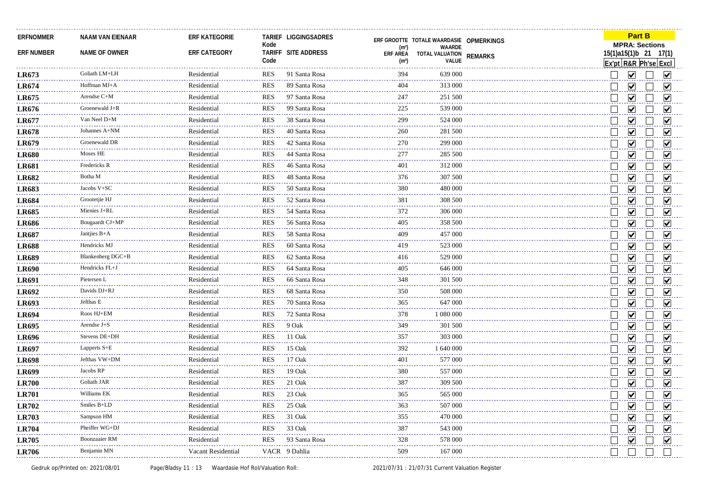| <b>ERFNOMMER</b>  | <b>NAAM VAN EIENAAR</b> | <b>ERF KATEGORIE</b> | Kode       | TARIEF LIGGINGSADRES | (m <sup>2</sup> )                    | ERF GROOTTE TOTALE WAARDASIE OPMERKINGS<br>WAARDE |                | <b>Part B</b><br><b>MPRA: Sections</b>        |                         |
|-------------------|-------------------------|----------------------|------------|----------------------|--------------------------------------|---------------------------------------------------|----------------|-----------------------------------------------|-------------------------|
| <b>ERF NUMBER</b> | NAME OF OWNER           | ERF CATEGORY         | Code       | TARIFF SITE ADDRESS  | <b>ERF AREA</b><br>(m <sup>2</sup> ) | TOTAL VALUATION<br><b>VALUE</b>                   | <b>REMARKS</b> | 15(1)a15(1)b 21 17(1)<br>Ex'pt R&R Ph'se Excl |                         |
| <b>LR673</b>      | Goliath LM+LH           | Residential          | <b>RES</b> | 91 Santa Rosa        | 394                                  | 639 000                                           |                | $\blacktriangledown$                          | M                       |
| <b>LR674</b>      | Hoffman MJ+A            | Residential          | <b>RES</b> | 89 Santa Rosa        | 404                                  | 313 000                                           |                | ▽                                             | M                       |
| LR675             | Arendse C+M             | Residential          | <b>RES</b> | 97 Santa Rosa        | 247                                  | 251 500                                           |                | $\vert\!\vert\mathbf{v}\vert\!\vert$          | V                       |
| LR676             | Groenewald J+R          | Residential          | <b>RES</b> | 99 Santa Rosa        | 225                                  | 539 000                                           |                | $\vert\bm{\mathsf{v}}\vert$                   | M                       |
| LR677             | Van Neel D+M            | Residential          | <b>RES</b> | 38 Santa Rosa        | 299                                  | 524 000                                           |                | ⊽                                             | V                       |
| LR678             | Johannes A+NM           | Residential          | <b>RES</b> | 40 Santa Rosa        | 260                                  | 281 500                                           |                | ☑                                             | ☑                       |
| LR679             | Groenewald DR           | Residential          | <b>RES</b> | 42 Santa Rosa        | 270                                  | 299 000                                           |                | ☑                                             | V                       |
| <b>LR680</b>      | Moses HE                | Residential          | <b>RES</b> | 44 Santa Rosa        | 277                                  | 285 500                                           |                | $\overline{\mathbf{v}}$                       | ☑                       |
| <b>LR681</b>      | Fredericks R            | Residential          | <b>RES</b> | 46 Santa Rosa        | 401                                  | 312 000                                           |                | ☑                                             | M                       |
| <b>LR682</b>      | Botha M                 | Residential          | <b>RES</b> | 48 Santa Rosa        | 376                                  | 307 500                                           |                | $\vert\!\vert\mathbf{v}\vert\!\vert$          | M                       |
| <b>LR683</b>      | Jacobs V+SC             | Residential          | <b>RES</b> | 50 Santa Rosa        | 380                                  | 480 000                                           |                | ☑                                             | ☑                       |
| <b>LR684</b>      | Grootetjie HJ           | Residential          | <b>RES</b> | 52 Santa Rosa        | 381                                  | 308 500                                           |                | $\overline{\mathsf{v}}$                       | ☑                       |
| <b>LR685</b>      | Mienies J+RL            | Residential          | <b>RES</b> | 54 Santa Rosa        | 372                                  | 306 000                                           |                | ☑                                             | V                       |
| <b>LR686</b>      | Bougaardt CJ+MF         | Residential          | <b>RES</b> | 56 Santa Rosa        | 405                                  | 358 500                                           |                | ⊻                                             | $\vert\mathbf{v}\vert$  |
| <b>LR687</b>      | Jantjies B+A            | Residential          | <b>RES</b> | 58 Santa Rosa        | 409                                  | 457 000                                           |                | $\blacktriangledown$                          | $\blacktriangledown$    |
| <b>LR688</b>      | Hendricks MJ            | Residential          | <b>RES</b> | 60 Santa Rosa        | 419                                  | 523 000                                           |                | $\blacktriangledown$                          | M                       |
| <b>LR689</b>      | Blankenberg DGC+B       | Residential          | <b>RES</b> | 62 Santa Rosa        | 416                                  | 529 000                                           |                | $\overline{\mathbf{v}}$                       | ☑                       |
| <b>LR690</b>      | Hendricks FL+J          | Residential          | <b>RES</b> | 64 Santa Rosa        | 405                                  | 646 000                                           |                | ☑                                             | ☑                       |
| LR691             | Pietersen L             | Residential          | <b>RES</b> | 66 Santa Rosa        | 348                                  | 301 500                                           |                | $\overline{\mathbf{v}}$                       | $\overline{\mathsf{v}}$ |
| <b>LR692</b>      | Davids DJ+RJ            | Residential          | <b>RES</b> | 68 Santa Rosa        | 350                                  | 508 000                                           |                | $\overline{\mathsf{v}}$                       | ☑                       |
| <b>LR693</b>      | Jefthas E               | Residential          | <b>RES</b> | 70 Santa Rosa        | 365                                  | 647 000                                           |                | ☑                                             | $\blacktriangledown$    |
| <b>LR694</b>      | Roos HJ+EM              | Residential          | <b>RES</b> | 72 Santa Rosa        | 378                                  | 1 080 000                                         |                | $\overline{\mathbf{v}}$                       | ☑                       |
| <b>LR695</b>      | Arendse $J+S$           | Residential          | <b>RES</b> | 9 Oak                | 349                                  | 301 500                                           |                | $\overline{\mathbf{v}}$                       | ☑                       |
| <b>LR696</b>      | Stevens DE+DH           | Residential          | <b>RES</b> | 11 Oak               | 357<br>$\omega$ is $\omega$ in       | 303 000                                           |                | $\blacktriangledown$                          | $\blacktriangledown$    |
| <b>LR697</b>      | Lapperts S+E            | Residential          | <b>RES</b> | 15 Oak               | 392                                  | 1 640 000                                         |                | $\overline{\mathsf{v}}$                       | M                       |
| <b>LR698</b>      | Jefthas VW+DM           | Residential          | <b>RES</b> | 17 Oak               | 401                                  | 577 000                                           |                | $\overline{\mathbf{v}}$                       | ☑                       |
| <b>LR699</b>      | Jacobs RP               | Residential          | <b>RES</b> | 19 Oak               | 380                                  | 557 000                                           |                | $\overline{\blacktriangledown}$               | ☑                       |
| <b>LR700</b>      | Goliath JAR             | Residential          | <b>RES</b> | 21 Oak               | 387<br>2222                          | 309 500                                           |                | $\blacktriangledown$                          | ☑                       |
| <b>LR701</b>      | Williams EK             | Residential          | <b>RES</b> | 23 Oak               | 365                                  | 565 000                                           |                | $\blacktriangledown$                          | M                       |
| <b>LR702</b>      | Smiles B+LD             | Residential          | <b>RES</b> | 25 Oak               | 363                                  | 507 000                                           |                | $\vert\bm{\mathsf{v}}\vert$                   | M                       |
| <b>LR703</b>      | Sampson HM              | Residential          | <b>RES</b> | 31 Oak               | 355                                  | 470 000                                           |                | $\vert\mathbf{v}\vert$                        | M                       |
| <b>LR704</b>      | Pheiffer WG+DJ          | Residential          | <b>RES</b> | 33 Oak               | 387<br>$\sim$ $\sim$ $\sim$ $\sim$   | 543 000                                           |                | $\overline{\mathbf{v}}$                       | $\blacktriangledown$    |
| <b>LR705</b>      | <b>Boonzaaier RM</b>    | Residential          | <b>RES</b> | 93 Santa Rosa        | 328                                  | 578 000                                           |                | $\blacktriangledown$                          | $\overline{\mathbf{v}}$ |
| LR706             | Benjamin MN             | Vacant Residential   |            | VACR 9 Dahlia        | 509                                  | 167 000                                           |                |                                               |                         |
|                   |                         |                      |            |                      |                                      |                                                   |                |                                               |                         |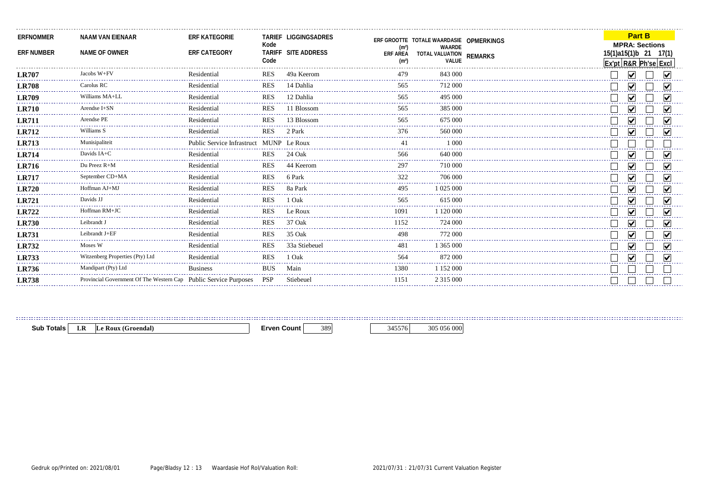| NAAM VAN EIENAAR<br>NAME OF OWNER | <b>ERF KATEGORIE</b><br><b>ERF CATEGORY</b> | Kode<br>Code |                                                                      | (m <sup>2</sup> )<br><b>ERF AREA</b><br>(m <sup>2</sup> )                              | WAARDE<br>VALUE |          |                                                                    |  |                                                           |
|-----------------------------------|---------------------------------------------|--------------|----------------------------------------------------------------------|----------------------------------------------------------------------------------------|-----------------|----------|--------------------------------------------------------------------|--|-----------------------------------------------------------|
| Jacobs W+FV                       | Residential                                 | <b>RES</b>   | 49a Keerom                                                           | 479                                                                                    | 843 000         |          |                                                                    |  |                                                           |
| Carolus RC                        | Residential                                 | <b>RES</b>   | 14 Dahlia                                                            | 565                                                                                    | 712 000         |          |                                                                    |  |                                                           |
| Williams MA+LL                    | Residential                                 | <b>RES</b>   | 12 Dahlia                                                            | 565                                                                                    | 495 000         |          |                                                                    |  |                                                           |
| Arendse I+SN                      | Residential                                 | <b>RES</b>   | 11 Blossom                                                           | 565                                                                                    | 385 000         |          |                                                                    |  |                                                           |
| Arendse PE                        | Residential                                 | <b>RES</b>   | 13 Blossom                                                           | 565                                                                                    | 675 000         |          |                                                                    |  |                                                           |
| Williams S                        | Residential                                 | <b>RES</b>   | 2 Park                                                               |                                                                                        | 560 000         |          |                                                                    |  |                                                           |
| Munisipaliteit                    |                                             |              |                                                                      |                                                                                        | 1 000           |          |                                                                    |  |                                                           |
| Davids $IA+C$                     | Residential                                 | <b>RES</b>   | 24 Oak                                                               | 566                                                                                    | 640,000         |          |                                                                    |  |                                                           |
| Du Preez R+M                      | Residential                                 | <b>RES</b>   | 44 Keerom                                                            | 297                                                                                    | 710 000         |          |                                                                    |  |                                                           |
| September CD+MA                   | Residential                                 | <b>RES</b>   | 6 Park                                                               | 322                                                                                    | 706 000         |          |                                                                    |  |                                                           |
| Hoffman AJ+MJ                     | Residential                                 | <b>RES</b>   | 8a Park                                                              | 495                                                                                    | 1 025 000       |          |                                                                    |  |                                                           |
| Davids JJ                         | Residential                                 | <b>RES</b>   | 1 Oak                                                                | 565                                                                                    | 615 000         |          |                                                                    |  |                                                           |
| Hoffman RM+JC                     | Residential                                 | <b>RES</b>   | Le Roux                                                              | 1091                                                                                   | l 120.000       |          |                                                                    |  |                                                           |
| Leibrandt J                       | Residential                                 | <b>RES</b>   | 37 Oak                                                               | 152                                                                                    | 724 000         |          |                                                                    |  |                                                           |
| Leibrandt J+EF                    | Residential                                 | <b>RES</b>   | 35 Oak                                                               | 498                                                                                    | 772 000         |          |                                                                    |  |                                                           |
| Moses W                           | Residential                                 | <b>RES</b>   | 33a Stiebeuel                                                        | 481                                                                                    | 1 365 000       |          |                                                                    |  |                                                           |
| Witzenberg Properties (Pty) Ltd   | Residential                                 | <b>RES</b>   | 1 Oak                                                                | 564                                                                                    | 872.000         |          |                                                                    |  |                                                           |
| Mandipart (Pty) Ltd               | <b>Business</b>                             | <b>BUS</b>   | Main                                                                 | 1380                                                                                   | 1 152 000       |          |                                                                    |  |                                                           |
|                                   |                                             |              | Stiebeuel                                                            | 1151                                                                                   | 2 3 1 5 0 0 0   |          |                                                                    |  |                                                           |
|                                   | ----------------------------------          |              | Provincial Government Of The Western Cap Public Service Purposes PSP | TARIEF LIGGINGSADRES<br>TARIFF SITE ADDRESS<br>Public Service Infrastruct MUNP Le Roux |                 | 376<br>. | ERF GROOTTE TOTALE WAARDASIE OPMERKINGS<br>TOTAL VALUATION REMARKS |  | <b>Part B</b><br><b>MPRA: Sections</b><br>15(1)a15(1)b 21 |

**Sub Totals LR Le Roux (Groendal) Erven Count** 389 345576 305 056 000